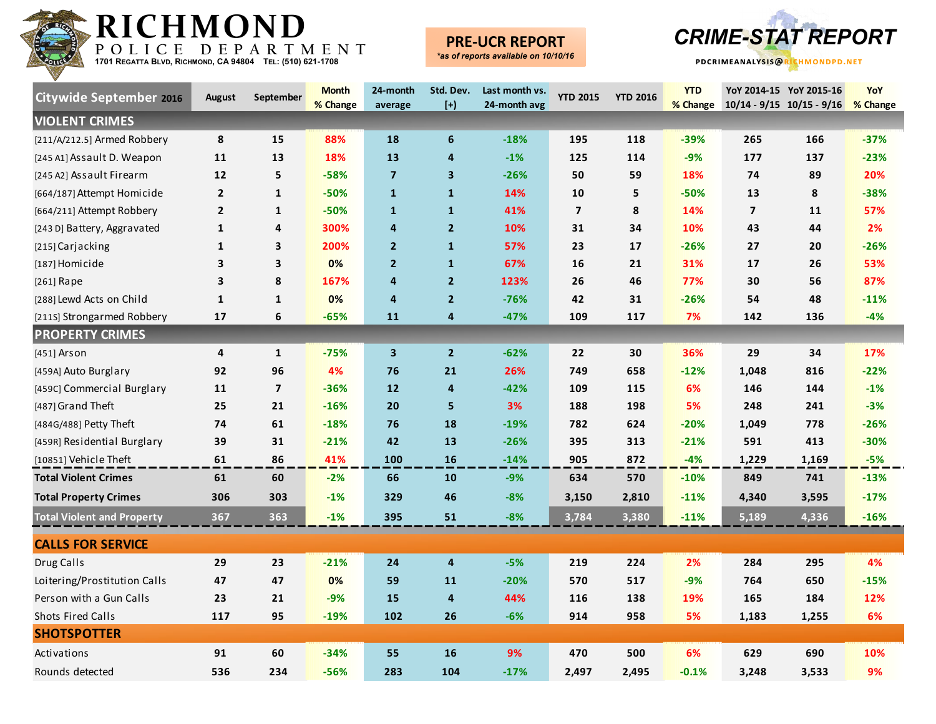

### **PRE-UCR REPORT**



| <b>Citywide September 2016</b>    | <b>August</b>  | September               | <b>Month</b><br>% Change | 24-month<br>average     | Std. Dev.<br>$[+]$      | Last month vs.<br>24-month avg | <b>YTD 2015</b> | <b>YTD 2016</b> | <b>YTD</b><br>% Change | $10/14 - 9/15$ $10/15 - 9/16$ | YoY 2014-15 YoY 2015-16 | YoY<br>% Change |
|-----------------------------------|----------------|-------------------------|--------------------------|-------------------------|-------------------------|--------------------------------|-----------------|-----------------|------------------------|-------------------------------|-------------------------|-----------------|
| <b>VIOLENT CRIMES</b>             |                |                         |                          |                         |                         |                                |                 |                 |                        |                               |                         |                 |
| [211/A/212.5] Armed Robbery       | 8              | 15                      | 88%                      | 18                      | 6                       | $-18%$                         | 195             | 118             | $-39%$                 | 265                           | 166                     | $-37%$          |
| [245 A1] Assault D. Weapon        | 11             | 13                      | 18%                      | 13                      | 4                       | $-1%$                          | 125             | 114             | $-9%$                  | 177                           | 137                     | $-23%$          |
| [245 A2] Assault Firearm          | 12             | 5                       | $-58%$                   | $\overline{7}$          | $\overline{\mathbf{3}}$ | $-26%$                         | 50              | 59              | 18%                    | 74                            | 89                      | 20%             |
| [664/187] Attempt Homicide        | $\overline{2}$ | 1                       | $-50%$                   | $\mathbf{1}$            | $\mathbf{1}$            | 14%                            | 10              | 5               | $-50%$                 | 13                            | 8                       | $-38%$          |
| [664/211] Attempt Robbery         | $\overline{2}$ | 1                       | $-50%$                   | $\mathbf{1}$            | $\mathbf{1}$            | 41%                            | $\overline{7}$  | 8               | 14%                    | $\overline{\mathbf{z}}$       | 11                      | 57%             |
| [243 D] Battery, Aggravated       | $\mathbf{1}$   | 4                       | 300%                     | 4                       | 2 <sup>1</sup>          | 10%                            | 31              | 34              | 10%                    | 43                            | 44                      | 2%              |
| [215] Carjacking                  | $\mathbf{1}$   | 3                       | 200%                     | $\overline{2}$          | $\mathbf{1}$            | 57%                            | 23              | 17              | $-26%$                 | 27                            | 20                      | $-26%$          |
| [187] Homicide                    | 3              | 3                       | 0%                       | $\overline{2}$          | $\mathbf{1}$            | 67%                            | 16              | 21              | 31%                    | 17                            | 26                      | 53%             |
| [261] Rape                        | 3              | 8                       | 167%                     | 4                       | 2 <sup>1</sup>          | 123%                           | 26              | 46              | 77%                    | 30                            | 56                      | 87%             |
| [288] Lewd Acts on Child          | $\mathbf{1}$   | $\mathbf{1}$            | 0%                       | $\overline{4}$          | $\overline{2}$          | $-76%$                         | 42              | 31              | $-26%$                 | 54                            | 48                      | $-11%$          |
| [211S] Strongarmed Robbery        | 17             | 6                       | $-65%$                   | 11                      | 4                       | $-47%$                         | 109             | 117             | 7%                     | 142                           | 136                     | $-4%$           |
| <b>PROPERTY CRIMES</b>            |                |                         |                          |                         |                         |                                |                 |                 |                        |                               |                         |                 |
| [451] Arson                       | 4              | $\mathbf{1}$            | $-75%$                   | $\overline{\mathbf{3}}$ | $\overline{2}$          | $-62%$                         | 22              | 30              | 36%                    | 29                            | 34                      | 17%             |
| [459A] Auto Burglary              | 92             | 96                      | 4%                       | 76                      | 21                      | 26%                            | 749             | 658             | $-12%$                 | 1,048                         | 816                     | $-22%$          |
| [459C] Commercial Burglary        | 11             | $\overline{\mathbf{z}}$ | $-36%$                   | 12                      | 4                       | $-42%$                         | 109             | 115             | 6%                     | 146                           | 144                     | $-1%$           |
| [487] Grand Theft                 | 25             | 21                      | $-16%$                   | 20                      | 5                       | 3%                             | 188             | 198             | 5%                     | 248                           | 241                     | $-3%$           |
| [484G/488] Petty Theft            | 74             | 61                      | $-18%$                   | 76                      | 18                      | $-19%$                         | 782             | 624             | $-20%$                 | 1,049                         | 778                     | $-26%$          |
| [459R] Residential Burglary       | 39             | 31                      | $-21%$                   | 42                      | 13                      | $-26%$                         | 395             | 313             | $-21%$                 | 591                           | 413                     | $-30%$          |
| [10851] Vehicle Theft             | 61             | 86                      | 41%                      | 100                     | 16                      | $-14%$                         | 905             | 872             | $-4%$                  | 1,229                         | 1,169                   | $-5%$           |
| <b>Total Violent Crimes</b>       | 61             | 60                      | $-2%$                    | 66                      | 10                      | $-9%$                          | 634             | 570             | $-10%$                 | 849                           | 741                     | $-13%$          |
| <b>Total Property Crimes</b>      | 306            | 303                     | $-1%$                    | 329                     | 46                      | $-8%$                          | 3,150           | 2,810           | $-11%$                 | 4,340                         | 3,595                   | $-17%$          |
| <b>Total Violent and Property</b> | 367            | 363                     | $-1%$                    | 395                     | 51                      | $-8%$                          | 3,784           | 3,380           | $-11%$                 | 5,189                         | 4,336                   | $-16%$          |
| <b>CALLS FOR SERVICE</b>          |                |                         |                          |                         |                         |                                |                 |                 |                        |                               |                         |                 |
| Drug Calls                        | 29             | 23                      | $-21%$                   | 24                      | 4                       | $-5%$                          | 219             | 224             | 2%                     | 284                           | 295                     | 4%              |
| Loitering/Prostitution Calls      | 47             | 47                      | 0%                       | 59                      | 11                      | $-20%$                         | 570             | 517             | $-9%$                  | 764                           | 650                     | $-15%$          |
| Person with a Gun Calls           | 23             | 21                      | $-9%$                    | 15                      | 4                       | 44%                            | 116             | 138             | 19%                    | 165                           | 184                     | 12%             |
| Shots Fired Calls                 | 117            | 95                      | $-19%$                   | 102                     | 26                      | $-6%$                          | 914             | 958             | 5%                     | 1,183                         | 1,255                   | 6%              |
| <b>SHOTSPOTTER</b>                |                |                         |                          |                         |                         |                                |                 |                 |                        |                               |                         |                 |
| Activations                       | 91             | 60                      | $-34%$                   | 55                      | 16                      | 9%                             | 470             | 500             | 6%                     | 629                           | 690                     | 10%             |
| Rounds detected                   | 536            | 234                     | $-56%$                   | 283                     | 104                     | $-17%$                         | 2,497           | 2,495           | $-0.1%$                | 3,248                         | 3,533                   | 9%              |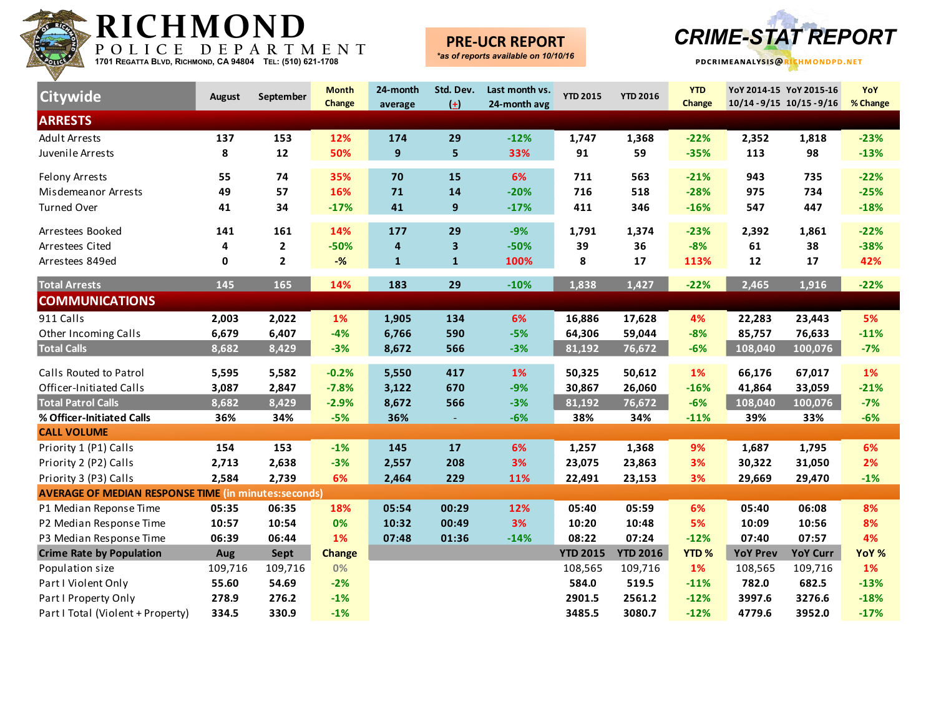

### **PRE-UCR REPORT**



| Citywide                                                    | <b>August</b> | September               | <b>Month</b><br>Change | 24-month<br>average | Std. Dev.<br>$\left( \pm \right)$ | Last month vs.<br>24-month avg | <b>YTD 2015</b> | <b>YTD 2016</b> | <b>YTD</b><br>Change | YoY 2014-15 YoY 2015-16<br>$10/14 - 9/15$ $10/15 - 9/16$ |                 | YoY<br>% Change |
|-------------------------------------------------------------|---------------|-------------------------|------------------------|---------------------|-----------------------------------|--------------------------------|-----------------|-----------------|----------------------|----------------------------------------------------------|-----------------|-----------------|
| <b>ARRESTS</b>                                              |               |                         |                        |                     |                                   |                                |                 |                 |                      |                                                          |                 |                 |
| <b>Adult Arrests</b>                                        | 137           | 153                     | 12%                    | 174                 | 29                                | $-12%$                         | 1,747           | 1,368           | $-22%$               | 2,352                                                    | 1,818           | $-23%$          |
| Juvenile Arrests                                            | 8             | 12                      | 50%                    | 9                   | 5                                 | 33%                            | 91              | 59              | $-35%$               | 113                                                      | 98              | $-13%$          |
| <b>Felony Arrests</b>                                       | 55            | 74                      | 35%                    | 70                  | 15                                | 6%                             | 711             | 563             | $-21%$               | 943                                                      | 735             | $-22%$          |
| Misdemeanor Arrests                                         | 49            | 57                      | 16%                    | 71                  | 14                                | $-20%$                         | 716             | 518             | $-28%$               | 975                                                      | 734             | $-25%$          |
| <b>Turned Over</b>                                          | 41            | 34                      | $-17%$                 | 41                  | $\boldsymbol{9}$                  | $-17%$                         | 411             | 346             | $-16%$               | 547                                                      | 447             | $-18%$          |
| Arrestees Booked                                            | 141           | 161                     | 14%                    | 177                 | 29                                | $-9%$                          | 1,791           | 1,374           | $-23%$               | 2,392                                                    | 1,861           | $-22%$          |
| Arrestees Cited                                             | 4             | $\mathbf{2}$            | $-50%$                 | 4                   | 3                                 | $-50%$                         | 39              | 36              | $-8%$                | 61                                                       | 38              | $-38%$          |
| Arrestees 849ed                                             | 0             | $\overline{\mathbf{2}}$ | $-$ %                  | $\mathbf{1}$        | $\mathbf{1}$                      | 100%                           | 8               | 17              | 113%                 | 12                                                       | 17              | 42%             |
| <b>Total Arrests</b>                                        | 145           | 165                     | 14%                    | 183                 | 29                                | $-10%$                         | 1,838           | 1,427           | $-22%$               | 2,465                                                    | 1,916           | $-22%$          |
| <b>COMMUNICATIONS</b>                                       |               |                         |                        |                     |                                   |                                |                 |                 |                      |                                                          |                 |                 |
| 911 Calls                                                   | 2,003         | 2,022                   | 1%                     | 1,905               | 134                               | 6%                             | 16,886          | 17,628          | 4%                   | 22,283                                                   | 23,443          | 5%              |
| Other Incoming Calls                                        | 6,679         | 6,407                   | $-4%$                  | 6,766               | 590                               | $-5%$                          | 64,306          | 59,044          | $-8%$                | 85,757                                                   | 76,633          | $-11%$          |
| <b>Total Calls</b>                                          | 8,682         | 8,429                   | $-3%$                  | 8,672               | 566                               | $-3%$                          | 81,192          | 76,672          | $-6%$                | 108,040                                                  | 100,076         | $-7%$           |
| Calls Routed to Patrol                                      | 5,595         | 5,582                   | $-0.2%$                | 5,550               | 417                               | 1%                             | 50,325          | 50,612          | 1%                   | 66,176                                                   | 67,017          | 1%              |
| Officer-Initiated Calls                                     | 3,087         | 2,847                   | $-7.8%$                | 3,122               | 670                               | $-9%$                          | 30,867          | 26,060          | $-16%$               | 41,864                                                   | 33,059          | $-21%$          |
| <b>Total Patrol Calls</b>                                   | 8,682         | 8,429                   | $-2.9%$                | 8,672               | 566                               | $-3%$                          | 81,192          | 76,672          | $-6%$                | 108,040                                                  | 100,076         | $-7%$           |
| % Officer-Initiated Calls                                   | 36%           | 34%                     | $-5%$                  | 36%                 | $\sim$                            | $-6%$                          | 38%             | 34%             | $-11%$               | 39%                                                      | 33%             | $-6%$           |
| <b>CALL VOLUME</b>                                          |               |                         |                        |                     |                                   |                                |                 |                 |                      |                                                          |                 |                 |
| Priority 1 (P1) Calls                                       | 154           | 153                     | $-1%$                  | 145                 | 17                                | 6%                             | 1,257           | 1,368           | 9%                   | 1,687                                                    | 1,795           | 6%              |
| Priority 2 (P2) Calls                                       | 2,713         | 2,638                   | $-3%$                  | 2,557               | 208                               | 3%                             | 23,075          | 23,863          | 3%                   | 30,322                                                   | 31,050          | 2%              |
| Priority 3 (P3) Calls                                       | 2,584         | 2,739                   | 6%                     | 2,464               | 229                               | 11%                            | 22,491          | 23,153          | 3%                   | 29,669                                                   | 29,470          | $-1%$           |
| <b>AVERAGE OF MEDIAN RESPONSE TIME (in minutes:seconds)</b> |               |                         |                        |                     |                                   |                                |                 |                 |                      |                                                          |                 |                 |
| P1 Median Reponse Time                                      | 05:35         | 06:35                   | 18%                    | 05:54               | 00:29                             | 12%                            | 05:40           | 05:59           | 6%                   | 05:40                                                    | 06:08           | 8%              |
| P2 Median Response Time                                     | 10:57         | 10:54                   | 0%                     | 10:32               | 00:49                             | 3%                             | 10:20           | 10:48           | 5%                   | 10:09                                                    | 10:56           | 8%              |
| P3 Median Response Time                                     | 06:39         | 06:44                   | 1%                     | 07:48               | 01:36                             | $-14%$                         | 08:22           | 07:24           | $-12%$               | 07:40                                                    | 07:57           | 4%              |
| <b>Crime Rate by Population</b>                             | Aug           | Sept                    | <b>Change</b>          |                     |                                   |                                | <b>YTD 2015</b> | <b>YTD 2016</b> | <b>YTD%</b>          | <b>YoY Prev</b>                                          | <b>YoY Curr</b> | YoY %           |
| Population size                                             | 109,716       | 109,716                 | 0%                     |                     |                                   |                                | 108,565         | 109,716         | 1%                   | 108,565                                                  | 109,716         | 1%              |
| Part I Violent Only                                         | 55.60         | 54.69                   | $-2%$                  |                     |                                   |                                | 584.0           | 519.5           | $-11%$               | 782.0                                                    | 682.5           | $-13%$          |
| Part I Property Only                                        | 278.9         | 276.2                   | $-1%$                  |                     |                                   |                                | 2901.5          | 2561.2          | $-12%$               | 3997.6                                                   | 3276.6          | $-18%$          |
| Part I Total (Violent + Property)                           | 334.5         | 330.9                   | $-1%$                  |                     |                                   |                                | 3485.5          | 3080.7          | $-12%$               | 4779.6                                                   | 3952.0          | $-17%$          |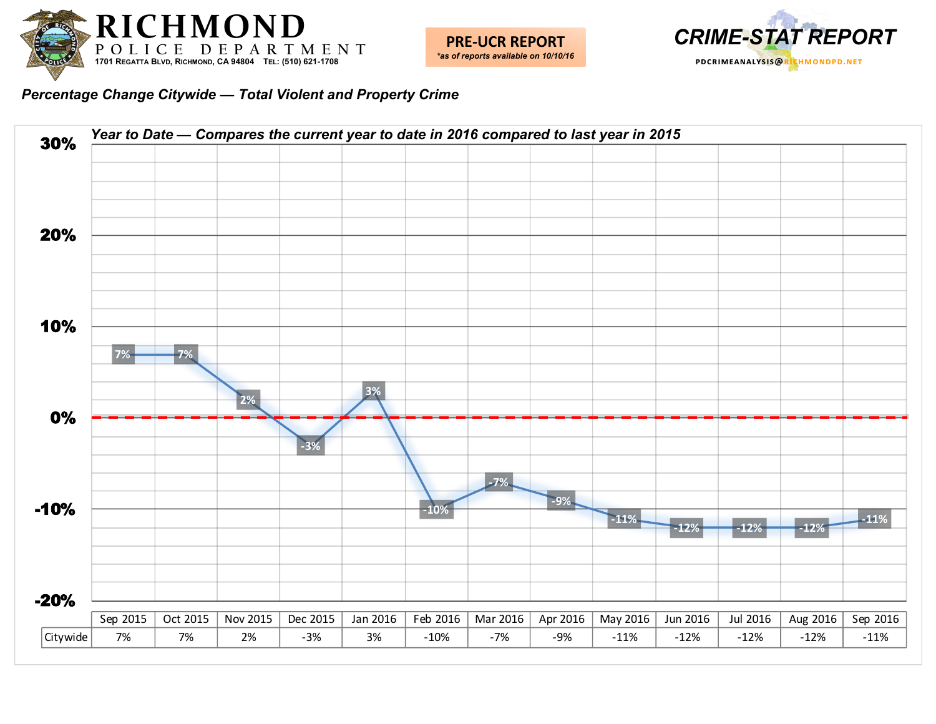



*Percentage Change Citywide — Total Violent and Property Crime*

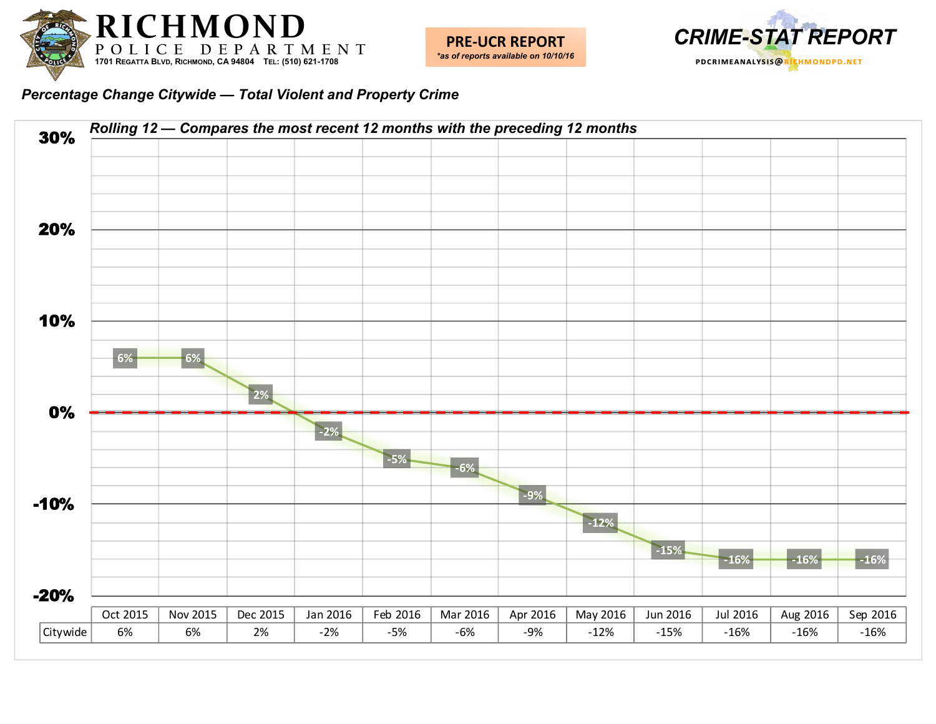



*Percentage Change Citywide — Total Violent and Property Crime*

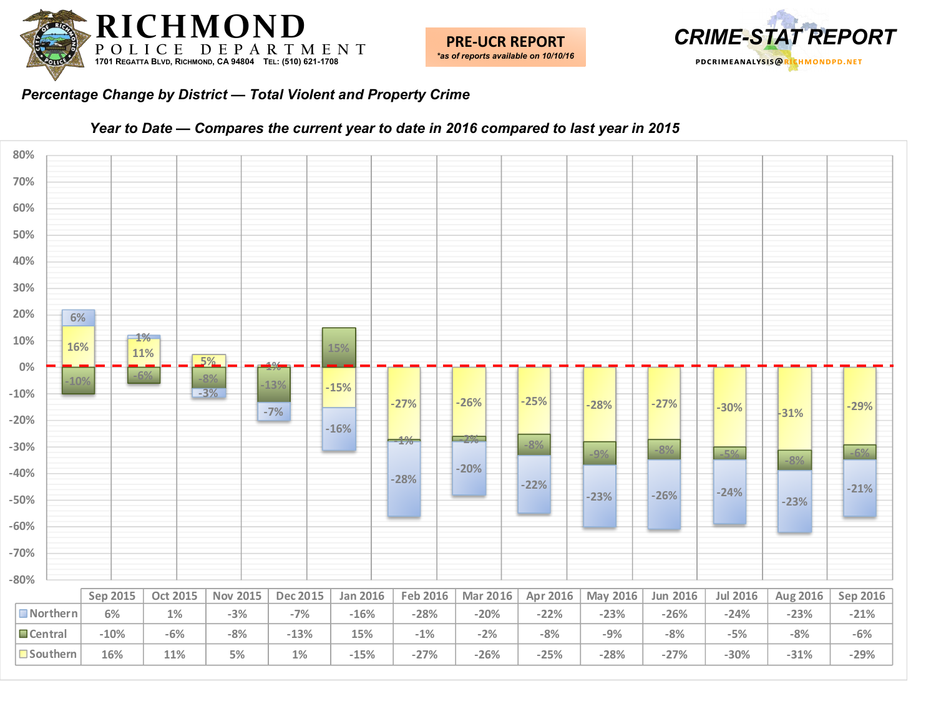



#### *Percentage Change by District — Total Violent and Property Crime*



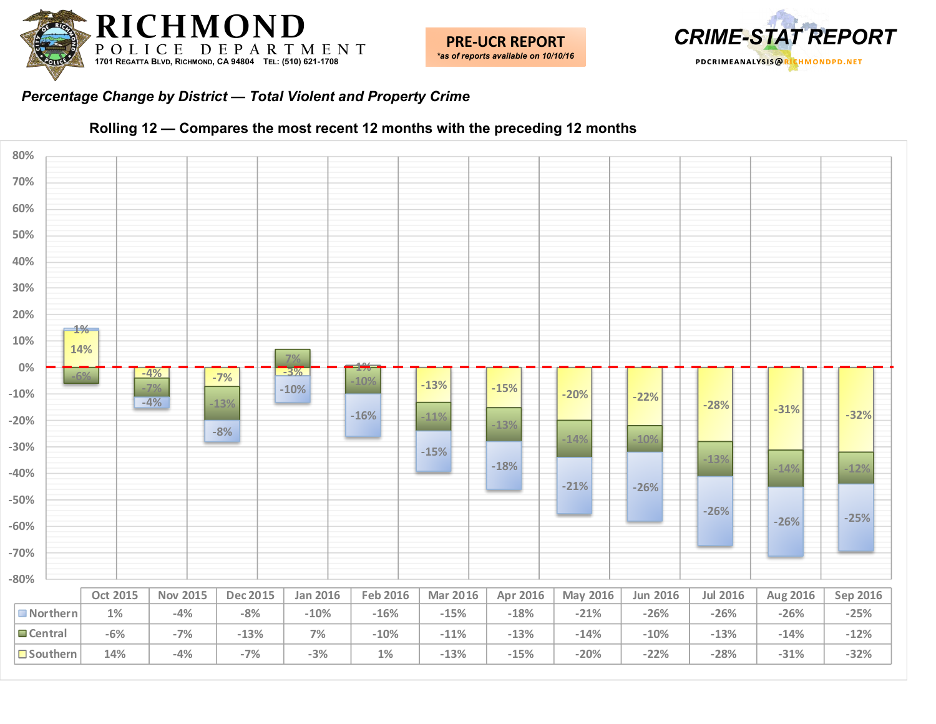



#### *Percentage Change by District — Total Violent and Property Crime*



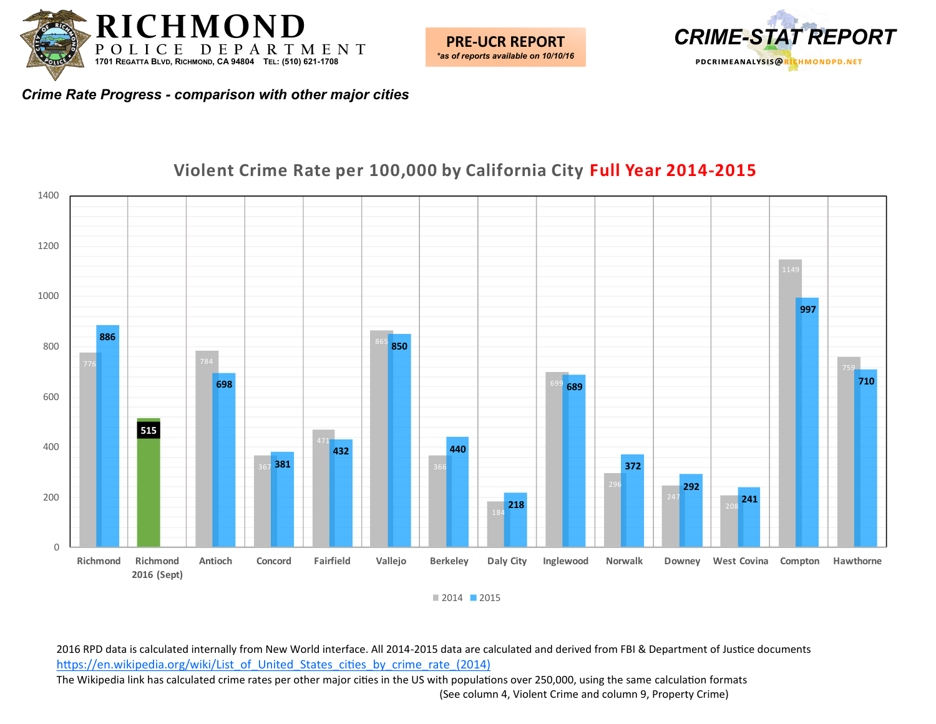

 $\theta$ 

**Richmond Richmond** 

**2016 (Sept)**



*Crime Rate Progress - comparison with other major cities*

#### 

**Antioch Concord Fairfield Vallejo Berkeley Daly City Inglewood Norwalk Downey West Covina Compton Hawthorne**

### **Violent Crime Rate per 100,000 by California City Full Year 2014-2015**

2016 RPD data is calculated internally from New World interface. All 2014-2015 data are calculated and derived from FBI & Department of Justice documents [https://en.wikipedia.org/wiki/List\\_of\\_United\\_States\\_cities\\_by\\_crime\\_rate\\_\(2014\)](https://en.wikipedia.org/wiki/List_of_United_States_cities_by_crime_rate_(2014)) The Wikipedia link has calculated crime rates per other major cities in the US with populations over 250,000, using the same calculation formats (See column 4, Violent Crime and column 9, Property Crime)

2015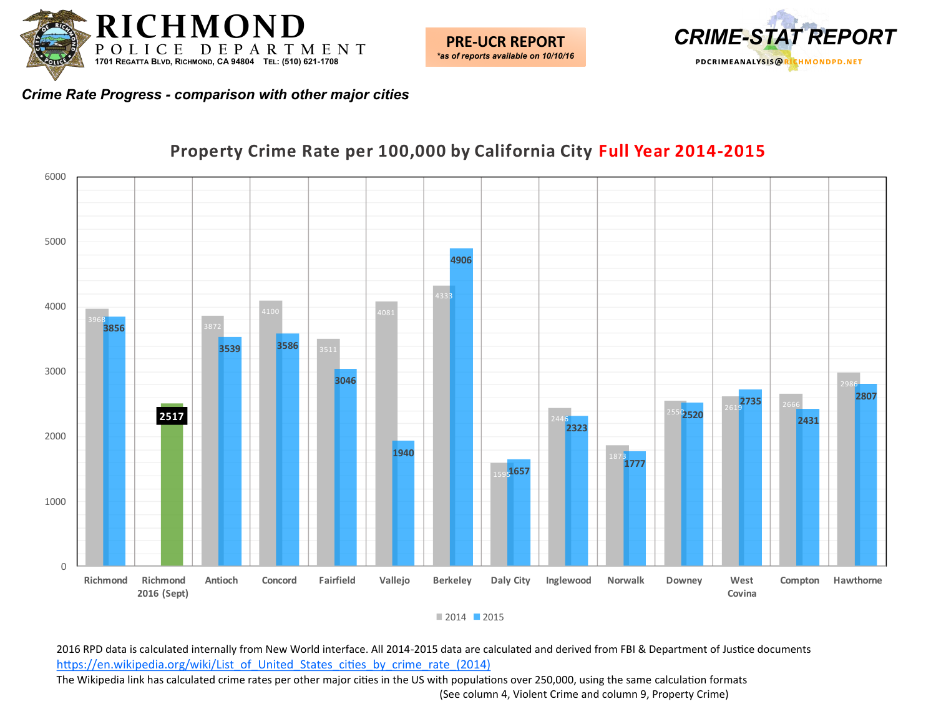



*Crime Rate Progress - comparison with other major cities*



#### **Property Crime Rate per 100,000 by California City Full Year 2014-2015**

■ 2014 ■ 2015

2016 RPD data is calculated internally from New World interface. All 2014-2015 data are calculated and derived from FBI & Department of Justice documents [https://en.wikipedia.org/wiki/List\\_of\\_United\\_States\\_cities\\_by\\_crime\\_rate\\_\(2014\)](https://en.wikipedia.org/wiki/List_of_United_States_cities_by_crime_rate_(2014)) The Wikipedia link has calculated crime rates per other major cities in the US with populations over 250,000, using the same calculation formats (See column 4, Violent Crime and column 9, Property Crime)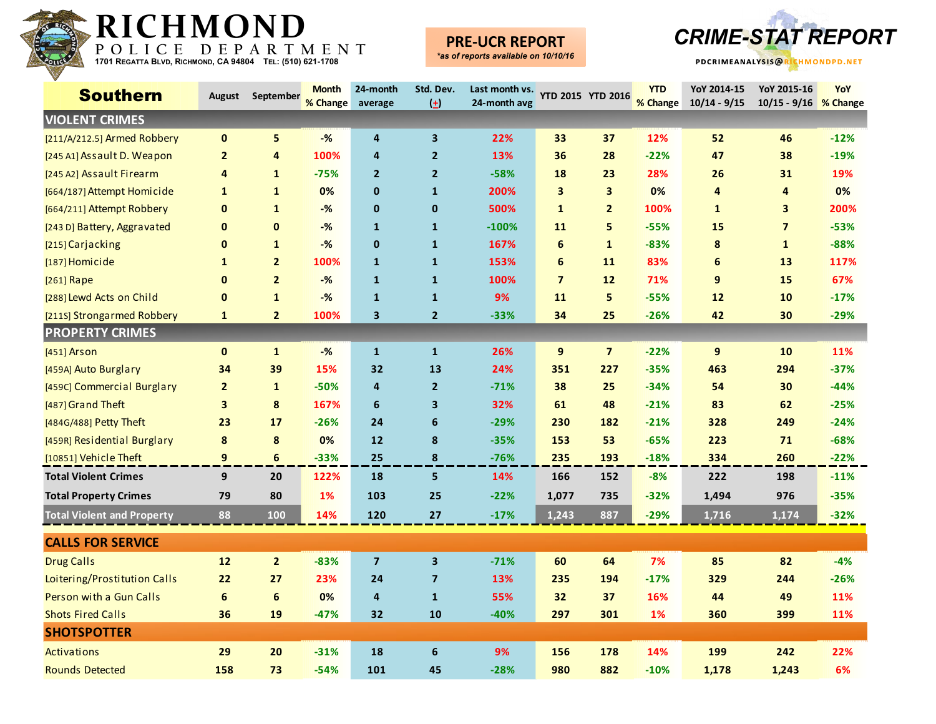

### **PRE-UCR REPORT**



| <b>Southern</b>                   | August           | September      | <b>Month</b><br>% Change | 24-month<br>average     | Std. Dev.<br>$(\pm)$    | Last month vs.<br>24-month avg |                         | YTD 2015 YTD 2016       | <b>YTD</b><br>% Change | YoY 2014-15<br>$10/14 - 9/15$ | YoY 2015-16<br>10/15 - 9/16 % Change | YoY    |
|-----------------------------------|------------------|----------------|--------------------------|-------------------------|-------------------------|--------------------------------|-------------------------|-------------------------|------------------------|-------------------------------|--------------------------------------|--------|
| <b>VIOLENT CRIMES</b>             |                  |                |                          |                         |                         |                                |                         |                         |                        |                               |                                      |        |
| [211/A/212.5] Armed Robbery       | $\mathbf 0$      | 5              | $-$ %                    | 4                       | 3                       | 22%                            | 33                      | 37                      | 12%                    | 52                            | 46                                   | $-12%$ |
| [245 A1] Assault D. Weapon        | $\overline{2}$   | 4              | 100%                     | 4                       | $\overline{2}$          | 13%                            | 36                      | 28                      | $-22%$                 | 47                            | 38                                   | $-19%$ |
| [245 A2] Assault Firearm          | 4                | $\mathbf{1}$   | $-75%$                   | $\overline{2}$          | $\overline{2}$          | $-58%$                         | 18                      | 23                      | 28%                    | 26                            | 31                                   | 19%    |
| [664/187] Attempt Homicide        | 1                | $\mathbf{1}$   | 0%                       | $\mathbf 0$             | $\mathbf{1}$            | 200%                           | $\overline{\mathbf{3}}$ | $\overline{\mathbf{3}}$ | 0%                     | 4                             | 4                                    | 0%     |
| [664/211] Attempt Robbery         | $\mathbf 0$      | $\mathbf{1}$   | $-\frac{9}{6}$           | $\mathbf 0$             | $\mathbf 0$             | 500%                           | $\mathbf{1}$            | $\overline{2}$          | 100%                   | $\mathbf{1}$                  | 3                                    | 200%   |
| [243 D] Battery, Aggravated       | $\mathbf 0$      | $\pmb{0}$      | $-%$                     | $\mathbf{1}$            | $\mathbf{1}$            | $-100%$                        | 11                      | 5                       | $-55%$                 | 15                            | $\overline{\mathbf{z}}$              | $-53%$ |
| [215] Carjacking                  | $\mathbf{0}$     | $\mathbf{1}$   | $-%$                     | $\mathbf{0}$            | $\mathbf 1$             | 167%                           | 6                       | $\mathbf{1}$            | $-83%$                 | 8                             | $\mathbf{1}$                         | $-88%$ |
| [187] Homicide                    | $\mathbf{1}$     | $\overline{2}$ | 100%                     | $\mathbf{1}$            | $\mathbf{1}$            | 153%                           | 6                       | 11                      | 83%                    | 6                             | 13                                   | 117%   |
| [261] Rape                        | $\mathbf 0$      | $\overline{2}$ | $-$ %                    | $\mathbf{1}$            | $\mathbf{1}$            | 100%                           | $\overline{7}$          | 12                      | 71%                    | 9                             | 15                                   | 67%    |
| [288] Lewd Acts on Child          | $\mathbf{0}$     | $\mathbf{1}$   | $-%$                     | $\mathbf{1}$            | $\mathbf{1}$            | 9%                             | 11                      | 5                       | $-55%$                 | 12                            | 10                                   | $-17%$ |
| [211S] Strongarmed Robbery        | $\mathbf{1}$     | $\overline{2}$ | 100%                     | 3                       | $\overline{2}$          | $-33%$                         | 34                      | 25                      | $-26%$                 | 42                            | 30                                   | $-29%$ |
| <b>PROPERTY CRIMES</b>            |                  |                |                          |                         |                         |                                |                         |                         |                        |                               |                                      |        |
| $[451]$ Arson                     | $\mathbf 0$      | $\mathbf{1}$   | $-%$                     | $\mathbf{1}$            | $\mathbf{1}$            | 26%                            | 9                       | $\overline{\mathbf{z}}$ | $-22%$                 | 9                             | 10                                   | 11%    |
| [459A] Auto Burglary              | 34               | 39             | 15%                      | 32                      | 13                      | 24%                            | 351                     | 227                     | $-35%$                 | 463                           | 294                                  | $-37%$ |
| [459C] Commercial Burglary        | $\overline{2}$   | $\mathbf{1}$   | $-50%$                   | $\overline{4}$          | $\overline{2}$          | $-71%$                         | 38                      | 25                      | $-34%$                 | 54                            | 30                                   | $-44%$ |
| [487] Grand Theft                 | 3                | 8              | 167%                     | $\boldsymbol{6}$        | $\overline{\mathbf{3}}$ | 32%                            | 61                      | 48                      | $-21%$                 | 83                            | 62                                   | $-25%$ |
| [484G/488] Petty Theft            | 23               | 17             | $-26%$                   | 24                      | 6                       | $-29%$                         | 230                     | 182                     | $-21%$                 | 328                           | 249                                  | $-24%$ |
| [459R] Residential Burglary       | 8                | 8              | 0%                       | $12$                    | 8                       | $-35%$                         | 153                     | 53                      | $-65%$                 | 223                           | 71                                   | $-68%$ |
| [10851] Vehicle Theft             | 9                | 6              | $-33%$                   | 25                      | 8                       | $-76%$                         | 235                     | 193                     | $-18%$                 | 334                           | 260                                  | $-22%$ |
| <b>Total Violent Crimes</b>       | 9                | 20             | 122%                     | 18                      | 5                       | 14%                            | 166                     | 152                     | $-8%$                  | 222                           | 198                                  | $-11%$ |
| <b>Total Property Crimes</b>      | 79               | 80             | 1%                       | 103                     | 25                      | $-22%$                         | 1,077                   | 735                     | $-32%$                 | 1,494                         | 976                                  | $-35%$ |
| <b>Total Violent and Property</b> | 88               | 100            | 14%                      | 120                     | 27                      | $-17%$                         | 1,243                   | 887                     | $-29%$                 | 1,716                         | 1,174                                | $-32%$ |
| <b>CALLS FOR SERVICE</b>          |                  |                |                          |                         |                         |                                |                         |                         |                        |                               |                                      |        |
| <b>Drug Calls</b>                 | 12               | $\overline{2}$ | $-83%$                   | $\overline{\mathbf{z}}$ | 3                       | $-71%$                         | 60                      | 64                      | 7%                     | 85                            | 82                                   | $-4%$  |
| Loitering/Prostitution Calls      | 22               | 27             | 23%                      | 24                      | $\overline{7}$          | 13%                            | 235                     | 194                     | $-17%$                 | 329                           | 244                                  | $-26%$ |
| Person with a Gun Calls           | $\boldsymbol{6}$ | $6\phantom{1}$ | 0%                       | 4                       | $\mathbf{1}$            | 55%                            | 32                      | 37                      | 16%                    | 44                            | 49                                   | 11%    |
| <b>Shots Fired Calls</b>          | 36               | 19             | $-47%$                   | 32                      | 10                      | $-40%$                         | 297                     | 301                     | <b>1%</b>              | 360                           | 399                                  | 11%    |
| <b>SHOTSPOTTER</b>                |                  |                |                          |                         |                         |                                |                         |                         |                        |                               |                                      |        |
| Activations                       | 29               | 20             | $-31%$                   | 18                      | 6                       | 9%                             | 156                     | 178                     | 14%                    | 199                           | 242                                  | 22%    |
| <b>Rounds Detected</b>            | 158              | 73             | $-54%$                   | 101                     | 45                      | $-28%$                         | 980                     | 882                     | $-10%$                 | 1,178                         | 1,243                                | 6%     |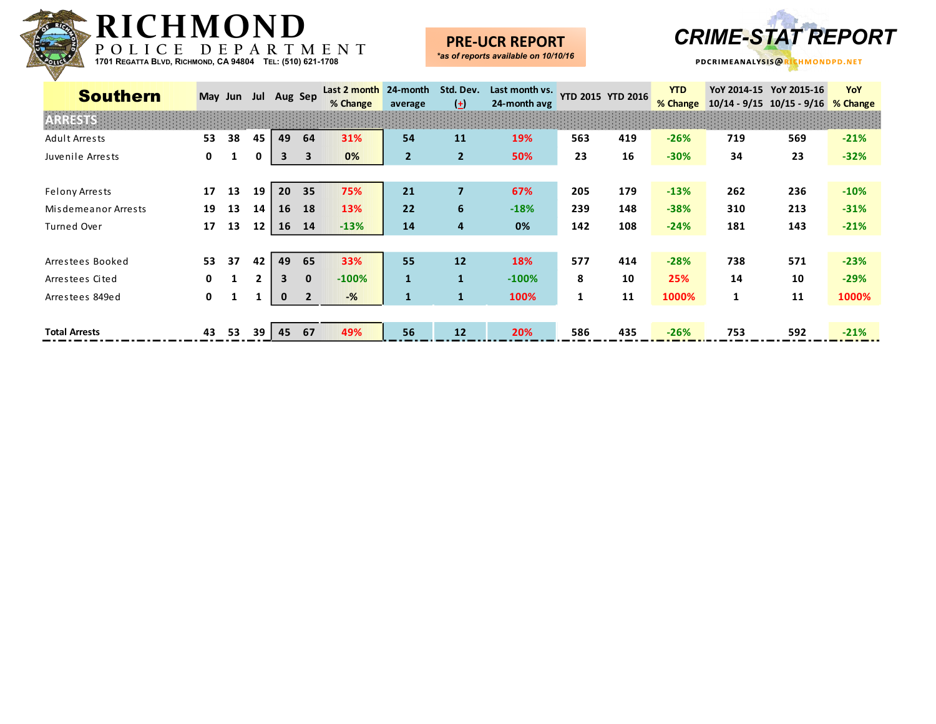

### **PRE-UCR REPORT**



| <b>Southern</b>       |              | May Jun Jul Aug Sep |    |    |                         | Last 2 month<br>% Change | 24-month<br>average | Std. Dev.<br>$\left( \pm \right)$ | Last month vs.<br>24-month avg |     | <b>YTD 2015 YTD 2016</b> | <b>YTD</b><br>% Change |     | YoY 2014-15 YoY 2015-16<br>$10/14 - 9/15$ $10/15 - 9/16$ | YoY<br>% Change |
|-----------------------|--------------|---------------------|----|----|-------------------------|--------------------------|---------------------|-----------------------------------|--------------------------------|-----|--------------------------|------------------------|-----|----------------------------------------------------------|-----------------|
|                       |              |                     |    |    |                         |                          |                     |                                   |                                |     |                          |                        |     |                                                          |                 |
| Adult Arrests         | 53           | 38                  | 45 | 49 | 64                      | 31%                      | 54                  | 11                                | 19%                            | 563 | 419                      | $-26%$                 | 719 | 569                                                      | $-21%$          |
| Juvenile Arrests      | $\mathbf{0}$ |                     |    | 3  | $\overline{\mathbf{3}}$ | 0%                       | $\overline{2}$      | $\overline{2}$                    | 50%                            | 23  | 16                       | $-30%$                 | 34  | 23                                                       | $-32%$          |
|                       |              |                     |    |    |                         |                          |                     |                                   |                                |     |                          |                        |     |                                                          |                 |
| <b>Felony Arrests</b> | 17           | 13                  | 19 | 20 | 35                      | 75%                      | 21                  | 7                                 | 67%                            | 205 | 179                      | $-13%$                 | 262 | 236                                                      | $-10%$          |
| Misdemeanor Arrests   | 19           | 13                  | 14 | 16 | 18                      | 13%                      | 22                  | 6                                 | $-18%$                         | 239 | 148                      | $-38%$                 | 310 | 213                                                      | $-31%$          |
| Turned Over           | 17           | 13                  | 12 | 16 | 14                      | $-13%$                   | 14                  | 4                                 | 0%                             | 142 | 108                      | $-24%$                 | 181 | 143                                                      | $-21%$          |
|                       |              |                     |    |    |                         |                          |                     |                                   |                                |     |                          |                        |     |                                                          |                 |
| Arrestees Booked      | 53           | 37                  | 42 | 49 | 65                      | 33%                      | 55                  | 12                                | 18%                            | 577 | 414                      | $-28%$                 | 738 | 571                                                      | $-23%$          |
| Arrestees Cited       | <sup>0</sup> |                     |    | 3  | $\mathbf{0}$            | $-100%$                  | $\mathbf{1}$        | $\mathbf{1}$                      | $-100%$                        | 8   | 10                       | 25%                    | 14  | 10                                                       | $-29%$          |
| Arrestees 849ed       | $\mathbf{0}$ |                     |    | 0  |                         | $-\frac{9}{6}$           | $\mathbf{1}$        |                                   | 100%                           | 1   | 11                       | 1000%                  | 1   | 11                                                       | 1000%           |
|                       |              |                     |    |    |                         |                          |                     |                                   |                                |     |                          |                        |     |                                                          |                 |
| <b>Total Arrests</b>  | 43           | 53                  | 39 | 45 | 67                      | 49%                      | 56                  | 12                                | 20%                            | 586 | 435                      | $-26%$                 | 753 | 592                                                      | $-21%$          |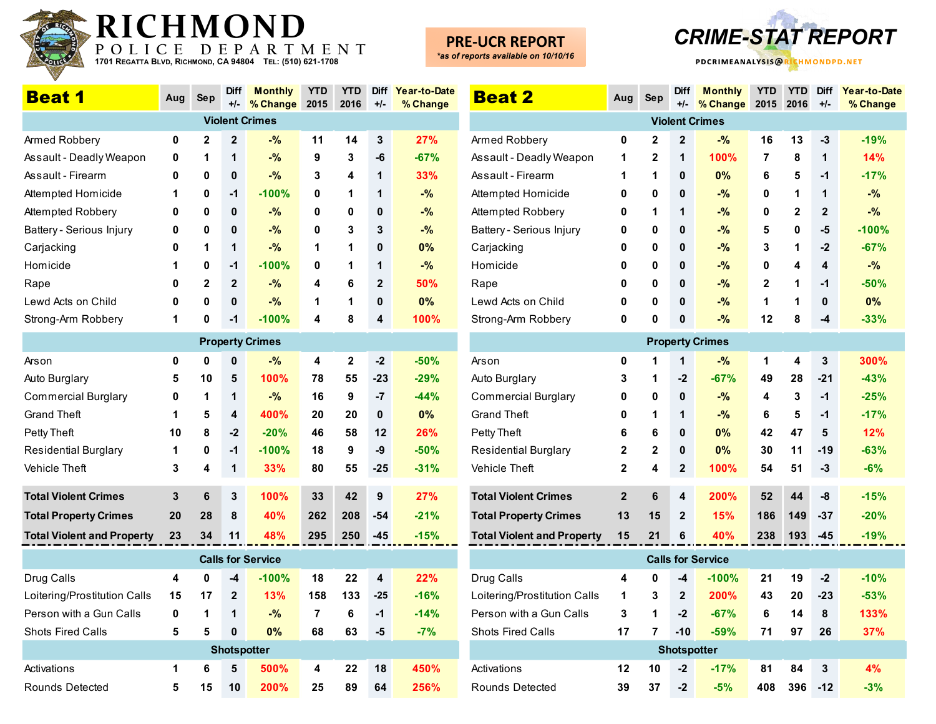

### **PRE-UCR REPORT**



| <b>Beat 1</b>                     | Aug                | <b>Sep</b>   | Diff         | <b>Monthly</b>           | <b>YTD</b> | <b>YTD</b>   | <b>Diff</b>    | Year-to-Date |  |  |  |  |
|-----------------------------------|--------------------|--------------|--------------|--------------------------|------------|--------------|----------------|--------------|--|--|--|--|
|                                   |                    |              | $+/-$        | % Change                 | 2015       | 2016         | $+/-$          | % Change     |  |  |  |  |
|                                   |                    |              |              | <b>Violent Crimes</b>    |            |              |                |              |  |  |  |  |
| Armed Robbery                     | 0                  | $\mathbf{2}$ | $\mathbf{2}$ | $-$ %                    | 11         | 14           | 3              | 27%          |  |  |  |  |
| Assault - Deadly Weapon           | 0                  | 1            | 1            | $-$ %                    | 9          | 3            | -6             | $-67%$       |  |  |  |  |
| Assault - Firearm                 | 0                  | 0            | 0            | $-$ %                    | 3          | 4            | 1              | 33%          |  |  |  |  |
| Attempted Homicide                | 1                  | 0            | $-1$         | $-100%$                  | 0          | 1            | 1              | $-$ %        |  |  |  |  |
| Attempted Robbery                 | 0                  | 0            | 0            | $-$ %                    | 0          | 0            | 0              | $-$ %        |  |  |  |  |
| Battery - Serious Injury          | 0                  | 0            | 0            | $-$ %                    | 0          | 3            | 3              | $-$ %        |  |  |  |  |
| Carjacking                        | 0                  | 1            | 1            | $-$ %                    | 1          | 1            | 0              | 0%           |  |  |  |  |
| Homicide                          | 1                  | 0            | $-1$         | $-100%$                  | 0          | 1            | 1              | $-$ %        |  |  |  |  |
| Rape                              | 0                  | $\mathbf{2}$ | $\mathbf{2}$ | $-9/6$                   | 4          | 6            | $\overline{2}$ | 50%          |  |  |  |  |
| Lewd Acts on Child                | 0                  | 0            | 0            | $-$ %                    | 1          | 1            | 0              | 0%           |  |  |  |  |
| Strong-Arm Robbery                | 1                  | 0            | $-1$         | $-100%$                  | 4          | 8            | 4              | 100%         |  |  |  |  |
|                                   |                    |              |              | <b>Property Crimes</b>   |            |              |                |              |  |  |  |  |
| Arson                             | 0                  | 0            | 0            | $-$ %                    | 4          | $\mathbf{2}$ | $-2$           | $-50%$       |  |  |  |  |
| Auto Burglary                     | 5                  | 10           | 5            | 100%                     | 78         | 55           | $-23$          | $-29%$       |  |  |  |  |
| <b>Commercial Burglary</b>        | 0                  | 1            | 1            | $-$ %                    | 16         | 9            | -7             | $-44%$       |  |  |  |  |
| <b>Grand Theft</b>                | 1                  | 5            | 4            | 400%                     | 20         | 20           | $\mathbf 0$    | 0%           |  |  |  |  |
| Petty Theft                       | 10                 | 8            | $-2$         | $-20%$                   | 46         | 58           | 12             | 26%          |  |  |  |  |
| <b>Residential Burglary</b>       | 1                  | 0            | $-1$         | $-100%$                  | 18         | 9            | -9             | $-50%$       |  |  |  |  |
| Vehicle Theft                     | 3                  | 4            | 1            | 33%                      | 80         | 55           | $-25$          | $-31%$       |  |  |  |  |
| <b>Total Violent Crimes</b>       | 3                  | 6            | 3            | 100%                     | 33         | 42           | 9              | 27%          |  |  |  |  |
| <b>Total Property Crimes</b>      | 20                 | 28           | 8            | 40%                      | 262        | 208          | $-54$          | $-21%$       |  |  |  |  |
| <b>Total Violent and Property</b> | 23                 | 34           | 11           | 48%                      | 295        | 250          | -45            | $-15%$       |  |  |  |  |
|                                   |                    |              |              |                          |            |              |                |              |  |  |  |  |
|                                   |                    |              |              | <b>Calls for Service</b> |            |              |                |              |  |  |  |  |
| Drug Calls                        | 4                  | 0            | -4           | $-100\%$                 | 18         | 22           | 4              | 22%          |  |  |  |  |
| Loitering/Prostitution Calls      | 15                 | 17           | $\mathbf{2}$ | 13%                      | 158        | 133          | $-25$          | $-16%$       |  |  |  |  |
| Person with a Gun Calls           | 0                  | 1            | 1            | $-9/6$                   | 7          | 6            | -1             | $-14%$       |  |  |  |  |
| Shots Fired Calls                 | 5                  | 5            | 0            | 0%                       | 68         | 63           | -5             | $-7%$        |  |  |  |  |
|                                   | <b>Shotspotter</b> |              |              |                          |            |              |                |              |  |  |  |  |
| Activations                       | 1                  | 6            | 5            | 500%                     | 4          | 22           | 18             | 450%         |  |  |  |  |
| Rounds Detected                   | 5                  | 15           | 10           | 200%                     | 25         | 89           | 64             | 256%         |  |  |  |  |

| <b>Beat 2</b>                     | Aug                     | Sep          | <b>Diff</b><br>$+/-$ | <b>Monthly</b><br>% Change | <b>YTD</b><br>2015 | <b>YTD</b><br>2016 | <b>Diff</b><br>$+/-$ | Year-to-Date<br>% Change |
|-----------------------------------|-------------------------|--------------|----------------------|----------------------------|--------------------|--------------------|----------------------|--------------------------|
|                                   |                         |              |                      | <b>Violent Crimes</b>      |                    |                    |                      |                          |
| Armed Robbery                     | 0                       | 2            | $\mathbf{2}$         | $-$ %                      | 16                 | 13                 | -3                   | $-19%$                   |
| Assault - Deadly Weapon           | 1                       | $\mathbf 2$  | 1                    | 100%                       | 7                  | 8                  | 1                    | 14%                      |
| Assault - Firearm                 | 1                       | 1            | 0                    | 0%                         | 6                  | 5                  | $-1$                 | $-17%$                   |
| Attempted Homicide                | 0                       | 0            | 0                    | $-$ %                      | 0                  | 1                  | 1                    | $-$ %                    |
| Attempted Robbery                 | 0                       | 1            | 1                    | $-$ %                      | 0                  | 2                  | $\mathbf 2$          | $-$ %                    |
| Battery - Serious Injury          | 0                       | 0            | 0                    | $-$ %                      | 5                  | 0                  | -5                   | $-100%$                  |
| Carjacking                        | 0                       | 0            | 0                    | $-$ %                      | 3                  | 1                  | $-2$                 | $-67%$                   |
| Homicide                          | 0                       | 0            | 0                    | $-$ %                      | 0                  | 4                  | 4                    | $-$ %                    |
| Rape                              | 0                       | 0            | 0                    | $-$ %                      | 2                  | 1                  | $-1$                 | $-50%$                   |
| Lewd Acts on Child                | 0                       | 0            | 0                    | $-$ %                      | 1                  | 1                  | 0                    | 0%                       |
| Strong-Arm Robbery                | 0                       | 0            | 0                    | $-%$                       | 12                 | 8                  | $-4$                 | $-33%$                   |
|                                   |                         |              |                      | <b>Property Crimes</b>     |                    |                    |                      |                          |
| Arson                             | 0                       | 1            | 1                    | $-%$                       | 1                  | 4                  | 3                    | 300%                     |
| Auto Burglary                     | 3                       | 1            | $-2$                 | $-67%$                     | 49                 | 28                 | $-21$                | $-43%$                   |
| Commercial Burglary               | 0                       | 0            | 0                    | $-%$                       | 4                  | 3                  | $-1$                 | $-25%$                   |
| <b>Grand Theft</b>                | 0                       | 1            | 1                    | $-$ %                      | 6                  | 5                  | $-1$                 | $-17%$                   |
| Petty Theft                       | 6                       | 6            | 0                    | 0%                         | 42                 | 47                 | 5                    | 12%                      |
| Residential Burglary              | 2                       | $\mathbf{2}$ | 0                    | 0%                         | 30                 | 11                 | -19                  | $-63%$                   |
| Vehicle Theft                     | $\overline{\mathbf{2}}$ | 4            | $\mathbf 2$          | 100%                       | 54                 | 51                 | $-3$                 | $-6%$                    |
| <b>Total Violent Crimes</b>       | $\boldsymbol{2}$        | 6            | 4                    | 200%                       | 52                 | 44                 | -8                   | $-15%$                   |
| <b>Total Property Crimes</b>      | 13                      | 15           | $\mathbf{2}$         | 15%                        | 186                | 149                | $-37$                | $-20%$                   |
| <b>Total Violent and Property</b> | 15                      | 21           | 6                    | 40%                        | 238                | 193                | $-45$                | $-19%$                   |
|                                   |                         |              |                      | <b>Calls for Service</b>   |                    |                    |                      |                          |
| Drug Calls                        | 4                       | 0            | -4                   | $-100%$                    | 21                 | 19                 | $-2$                 | $-10%$                   |
| Loitering/Prostitution Calls      | 1                       | 3            | 2                    | 200%                       | 43                 | 20                 | $-23$                | $-53%$                   |
| Person with a Gun Calls           | 3                       | 1            | $-2$                 | $-67%$                     | 6                  | 14                 | 8                    | 133%                     |
| Shots Fired Calls                 | 17                      | 7            | $-10$                | $-59%$                     | 71                 | 97                 | 26                   | 37%                      |
|                                   |                         |              | <b>Shotspotter</b>   |                            |                    |                    |                      |                          |
| Activations                       | 12                      | 10           | $-2$                 | $-17%$                     | 81                 | 84                 | 3                    | 4%                       |
| Rounds Detected                   | 39                      | 37           | $-2$                 | $-5%$                      | 408                | 396                | $-12$                | $-3%$                    |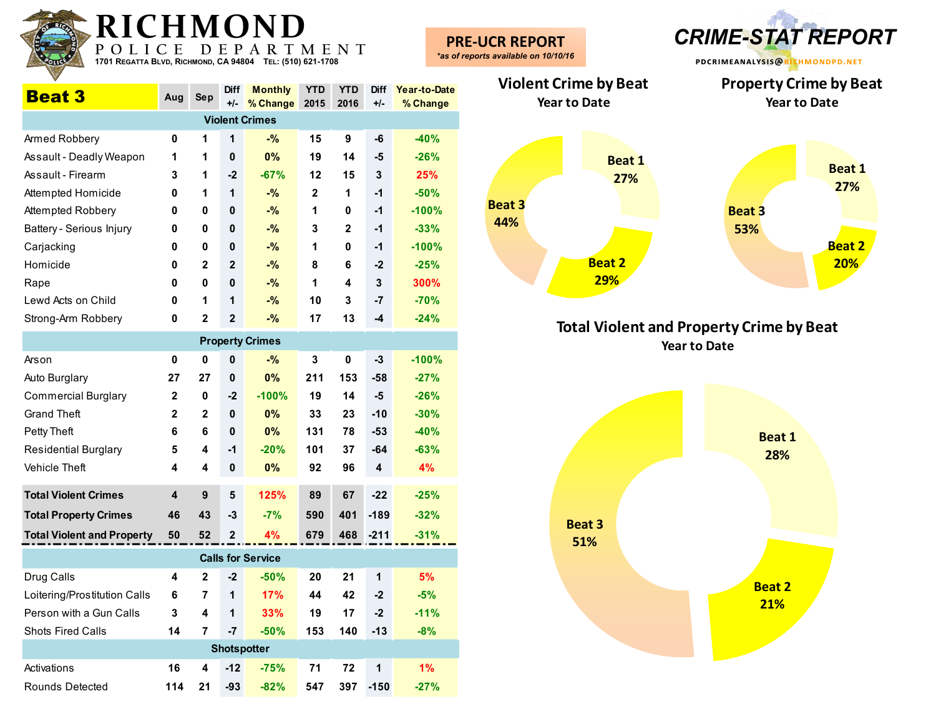| <b>KI (</b><br>POLI                                       |              | D            | E                    | MUND<br>PARTMENT                |              |                    |                      |                          | <b>PRE-UCR REPORT</b><br>*as of reports available on 10/10/16 |                      | <b>CRIME-STAT REPORT</b>                             |
|-----------------------------------------------------------|--------------|--------------|----------------------|---------------------------------|--------------|--------------------|----------------------|--------------------------|---------------------------------------------------------------|----------------------|------------------------------------------------------|
| 1701 REGATTA BLVD, RICHMOND, CA 94804 TEL: (510) 621-1708 |              |              |                      |                                 |              |                    |                      |                          |                                                               |                      | PDCRIMEANALYSIS@RICHMONDPD.NET                       |
| <b>Beat 3</b>                                             | Aug          | Sep          | <b>Diff</b><br>$+/-$ | <b>Monthly</b><br>% Change 2015 | <b>YTD</b>   | <b>YTD</b><br>2016 | <b>Diff</b><br>$+/-$ | Year-to-Date<br>% Change | <b>Violent Crime by Beat</b><br><b>Year to Date</b>           |                      | <b>Property Crime by Beat</b><br><b>Year to Date</b> |
|                                                           |              |              |                      | <b>Violent Crimes</b>           |              |                    |                      |                          |                                                               |                      |                                                      |
| Armed Robbery                                             | 0            | 1            | $\mathbf 1$          | $-$ %                           | 15           | 9                  | -6                   | $-40%$                   |                                                               |                      |                                                      |
| Assault - Deadly Weapon                                   | $\mathbf 1$  | 1            | $\mathbf 0$          | 0%                              | 19           | 14                 | -5                   | $-26%$                   |                                                               | <b>Beat 1</b>        |                                                      |
| Assault - Firearm                                         | 3            | 1            | -2                   | $-67%$                          | 12           | 15                 | 3                    | 25%                      |                                                               | 27%                  | <b>Beat 1</b>                                        |
| Attempted Homicide                                        | 0            | 1            | $\mathbf 1$          | $-$ %                           | $\mathbf{2}$ | 1                  | -1                   | $-50%$                   |                                                               |                      | 27%                                                  |
| Attempted Robbery                                         | 0            | 0            | 0                    | $-$ %                           | 1            | 0                  | -1                   | $-100%$                  | <b>Beat 3</b>                                                 |                      | <b>Beat 3</b>                                        |
| Battery - Serious Injury                                  | 0            | 0            | $\mathbf 0$          | $-$ %                           | 3            | 2                  | -1                   | $-33%$                   | 44%                                                           |                      | 53%                                                  |
| Carjacking                                                | 0            | 0            | 0                    | $-$ %                           | 1            | 0                  | -1                   | $-100%$                  |                                                               |                      | <b>Beat 2</b>                                        |
| Homicide                                                  | 0            | $\mathbf{2}$ | $\mathbf{2}$         | $-$ %                           | 8            | 6                  | $-2$                 | $-25%$                   |                                                               | <b>Beat 2</b>        | 20%                                                  |
| Rape                                                      | 0            | 0            | 0                    | $ \%$                           | 1            | 4                  | 3                    | 300%                     |                                                               | 29%                  |                                                      |
| Lewd Acts on Child                                        | 0            | 1            | $\mathbf 1$          | $ \%$                           | 10           | 3                  | $-7$                 | $-70%$                   |                                                               |                      |                                                      |
| Strong-Arm Robbery                                        | 0            | $\mathbf 2$  | $\mathbf{2}$         | $-$ %                           | 17           | 13                 | -4                   | $-24%$                   |                                                               |                      | <b>Total Violent and Property Crime by Beat</b>      |
|                                                           |              |              |                      | <b>Property Crimes</b>          |              |                    |                      |                          |                                                               |                      | <b>Year to Date</b>                                  |
| Arson                                                     | 0            | 0            | 0                    | $-$ %                           | 3            | 0                  | $-3$                 | $-100%$                  |                                                               |                      |                                                      |
| Auto Burglary                                             | 27           | 27           | $\mathbf 0$          | 0%                              | 211          | 153                | $-58$                | $-27%$                   |                                                               |                      |                                                      |
| <b>Commercial Burglary</b>                                | 2            | 0            | $-2$                 | $-100%$                         | 19           | 14                 | -5                   | $-26%$                   |                                                               |                      |                                                      |
| <b>Grand Theft</b>                                        | $\mathbf{2}$ | $\mathbf{2}$ | $\mathbf 0$          | 0%                              | 33           | 23                 | $-10$                | $-30%$                   |                                                               |                      |                                                      |
| Petty Theft                                               | 6            | 6            | 0                    | 0%                              | 131          | 78                 | $-53$                | $-40%$                   |                                                               |                      | <b>Beat 1</b>                                        |
| <b>Residential Burglary</b>                               | 5            | 4            | $-1$                 | $-20%$                          | 101          | 37                 | $-64$                | $-63%$                   |                                                               |                      | 28%                                                  |
| Vehicle Theft                                             | 4            | 4            | $\mathbf 0$          | 0%                              | 92           | 96                 | 4                    | 4%                       |                                                               |                      |                                                      |
| <b>Total Violent Crimes</b>                               | 4            | 9            | 5                    | 125%                            | 89           | 67                 | $-22$                | $-25%$                   |                                                               |                      |                                                      |
| <b>Total Property Crimes</b>                              | 46           | 43           | -3                   | $-7%$                           | 590          | 401                | $-189$               | $-32%$                   |                                                               |                      |                                                      |
| <b>Total Violent and Property</b>                         | 50           | 52           | $\mathbf{2}$         | 4%                              | 679          | 468                | $-211$               | $-31%$                   |                                                               | <b>Beat 3</b><br>51% |                                                      |
|                                                           |              |              |                      | <b>Calls for Service</b>        |              |                    |                      |                          |                                                               |                      |                                                      |
| Drug Calls                                                | 4            | $\mathbf{2}$ | $-2$                 | $-50%$                          | 20           | 21                 | $\mathbf 1$          | 5%                       |                                                               |                      |                                                      |
| Loitering/Prostitution Calls                              | 6            | 7            | $\mathbf{1}$         | 17%                             | 44           | 42                 | $-2$                 | $-5%$                    |                                                               |                      | <b>Beat 2</b>                                        |
| Person with a Gun Calls                                   | 3            | 4            | $\mathbf{1}$         | 33%                             | 19           | 17                 | $-2$                 | $-11%$                   |                                                               |                      | 21%                                                  |
| Shots Fired Calls                                         | 14           | 7            | $-7$                 | $-50%$                          | 153          | 140                | $-13$                | $-8%$                    |                                                               |                      |                                                      |
|                                                           |              |              |                      | <b>Shotspotter</b>              |              |                    |                      |                          |                                                               |                      |                                                      |
| Activations                                               | 16           | 4            | $-12$                | $-75%$                          | 71           | 72                 | $\mathbf{1}$         | 1%                       |                                                               |                      |                                                      |
| Rounds Detected                                           | 114          |              | $21 - 93$            | $-82%$                          | 547          |                    | 397 -150             | $-27%$                   |                                                               |                      |                                                      |

**RADICUMOND** 



**Total Violent and Property Crime by Beat Year to Date**

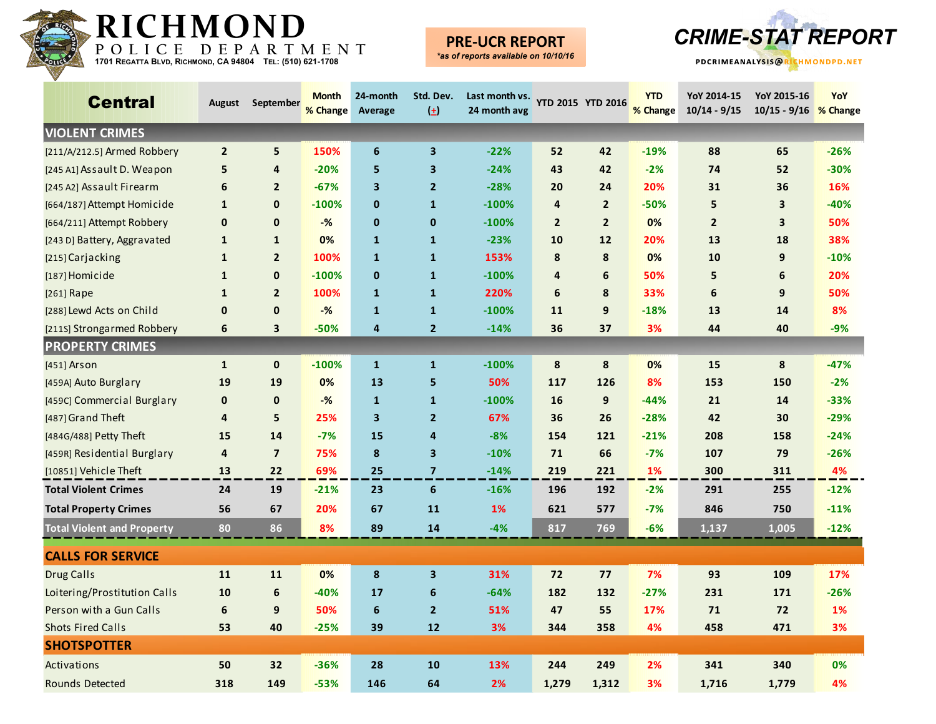

### **PRE-UCR REPORT**



| <b>Central</b>                    |                | August September | <b>Month</b><br>% Change | 24-month<br>Average | Std. Dev.<br>$\left( \pm \right)$ | Last month vs.<br>24 month avg | <b>YTD 2015 YTD 2016</b> |                | <b>YTD</b><br>% Change | YoY 2014-15<br>$10/14 - 9/15$ | YoY 2015-16<br>10/15 - 9/16 % Change | YoY    |
|-----------------------------------|----------------|------------------|--------------------------|---------------------|-----------------------------------|--------------------------------|--------------------------|----------------|------------------------|-------------------------------|--------------------------------------|--------|
| <b>VIOLENT CRIMES</b>             |                |                  |                          |                     |                                   |                                |                          |                |                        |                               |                                      |        |
| [211/A/212.5] Armed Robbery       | $\overline{2}$ | 5                | 150%                     | $\boldsymbol{6}$    | $\mathbf{3}$                      | $-22%$                         | 52                       | 42             | $-19%$                 | 88                            | 65                                   | $-26%$ |
| [245 A1] Assault D. Weapon        | 5              | $\overline{4}$   | $-20%$                   | 5                   | $\overline{\mathbf{3}}$           | $-24%$                         | 43                       | 42             | $-2%$                  | 74                            | 52                                   | $-30%$ |
| [245 A2] Assault Firearm          | 6              | $\overline{2}$   | $-67%$                   | 3                   | $\overline{2}$                    | $-28%$                         | 20                       | 24             | 20%                    | 31                            | 36                                   | 16%    |
| [664/187] Attempt Homicide        | $\mathbf{1}$   | $\mathbf{0}$     | $-100%$                  | $\mathbf 0$         | $\mathbf{1}$                      | $-100%$                        | $\overline{4}$           | $\overline{2}$ | $-50%$                 | 5                             | $\overline{\mathbf{3}}$              | $-40%$ |
| [664/211] Attempt Robbery         | $\mathbf 0$    | $\mathbf 0$      | $-%$                     | $\mathbf 0$         | $\mathbf{0}$                      | $-100%$                        | $\overline{2}$           | $\overline{2}$ | 0%                     | $\overline{2}$                | $\overline{\mathbf{3}}$              | 50%    |
| [243 D] Battery, Aggravated       | $\mathbf{1}$   | $\mathbf{1}$     | 0%                       | $\mathbf{1}$        | $\mathbf{1}$                      | $-23%$                         | 10                       | 12             | 20%                    | 13                            | 18                                   | 38%    |
| [215] Carjacking                  | $\mathbf{1}$   | $\overline{2}$   | 100%                     | $\mathbf{1}$        | $\mathbf{1}$                      | 153%                           | 8                        | 8              | 0%                     | 10                            | 9                                    | $-10%$ |
| [187] Homicide                    | $\mathbf{1}$   | $\mathbf 0$      | $-100%$                  | $\bf{0}$            | $\mathbf{1}$                      | $-100%$                        | $\overline{4}$           | 6              | 50%                    | 5                             | 6                                    | 20%    |
| [261] Rape                        | $\mathbf{1}$   | $\overline{2}$   | 100%                     | $\mathbf{1}$        | $\mathbf{1}$                      | 220%                           | 6                        | 8              | 33%                    | 6                             | 9                                    | 50%    |
| [288] Lewd Acts on Child          | $\mathbf 0$    | $\mathbf{0}$     | $-%$                     | $\mathbf{1}$        | $\mathbf{1}$                      | $-100%$                        | 11                       | 9              | $-18%$                 | 13                            | 14                                   | 8%     |
| [211S] Strongarmed Robbery        | 6              | 3                | $-50%$                   | 4                   | $\overline{2}$                    | $-14%$                         | 36                       | 37             | 3%                     | 44                            | 40                                   | $-9%$  |
| <b>PROPERTY CRIMES</b>            |                |                  |                          |                     |                                   |                                |                          |                |                        |                               |                                      |        |
| $[451]$ Arson                     | $\mathbf{1}$   | $\mathbf 0$      | $-100%$                  | $\mathbf{1}$        | $\mathbf 1$                       | $-100%$                        | 8                        | 8              | 0%                     | 15                            | 8                                    | $-47%$ |
| [459A] Auto Burglary              | 19             | 19               | 0%                       | 13                  | 5                                 | 50%                            | 117                      | 126            | 8%                     | 153                           | 150                                  | $-2%$  |
| [459C] Commercial Burglary        | $\mathbf 0$    | $\mathbf 0$      | $-%$                     | $\mathbf{1}$        | $\mathbf{1}$                      | $-100%$                        | 16                       | 9              | $-44%$                 | 21                            | 14                                   | $-33%$ |
| [487] Grand Theft                 | 4              | 5                | 25%                      | 3                   | $\overline{2}$                    | 67%                            | 36                       | 26             | $-28%$                 | 42                            | 30                                   | $-29%$ |
| [484G/488] Petty Theft            | 15             | 14               | $-7%$                    | 15                  | $\overline{4}$                    | $-8%$                          | 154                      | 121            | $-21%$                 | 208                           | 158                                  | $-24%$ |
| [459R] Residential Burglary       | 4              | $\overline{7}$   | 75%                      | $\pmb{8}$           | $\overline{\mathbf{3}}$           | $-10%$                         | 71                       | 66             | $-7%$                  | 107                           | 79                                   | $-26%$ |
| [10851] Vehicle Theft             | 13             | 22               | 69%                      | 25                  | $\overline{7}$                    | $-14%$                         | 219                      | 221            | 1%                     | 300                           | 311                                  | 4%     |
| <b>Total Violent Crimes</b>       | 24             | 19               | $-21%$                   | 23                  | 6                                 | $-16%$                         | 196                      | 192            | $-2%$                  | 291                           | 255                                  | $-12%$ |
| <b>Total Property Crimes</b>      | 56             | 67               | 20%                      | 67                  | 11                                | 1%                             | 621                      | 577            | $-7%$                  | 846                           | 750                                  | $-11%$ |
| <b>Total Violent and Property</b> | 80             | 86               | 8%                       | 89                  | 14                                | $-4%$                          | 817                      | 769            | $-6%$                  | 1,137                         | 1,005                                | $-12%$ |
| <b>CALLS FOR SERVICE</b>          |                |                  |                          |                     |                                   |                                |                          |                |                        |                               |                                      |        |
| <b>Drug Calls</b>                 | 11             | 11               | 0%                       | 8                   | $\mathbf{3}$                      | 31%                            | 72                       | 77             | 7%                     | 93                            | 109                                  | 17%    |
| Loitering/Prostitution Calls      | 10             | $\boldsymbol{6}$ | $-40%$                   | 17                  | $6\phantom{1}6$                   | $-64%$                         | 182                      | 132            | $-27%$                 | 231                           | 171                                  | $-26%$ |
| Person with a Gun Calls           | 6              | 9                | 50%                      | 6                   | $\overline{2}$                    | 51%                            | 47                       | 55             | 17%                    | 71                            | 72                                   | 1%     |
| <b>Shots Fired Calls</b>          | 53             | 40               | $-25%$                   | 39                  | 12                                | 3%                             | 344                      | 358            | 4%                     | 458                           | 471                                  | 3%     |
| <b>SHOTSPOTTER</b>                |                |                  |                          |                     |                                   |                                |                          |                |                        |                               |                                      |        |
| Activations                       | 50             | 32               | $-36%$                   | 28                  | 10                                | 13%                            | 244                      | 249            | 2%                     | 341                           | 340                                  | 0%     |
| <b>Rounds Detected</b>            | 318            | 149              | $-53%$                   | 146                 | 64                                | 2%                             | 1,279                    | 1,312          | 3%                     | 1,716                         | 1,779                                | 4%     |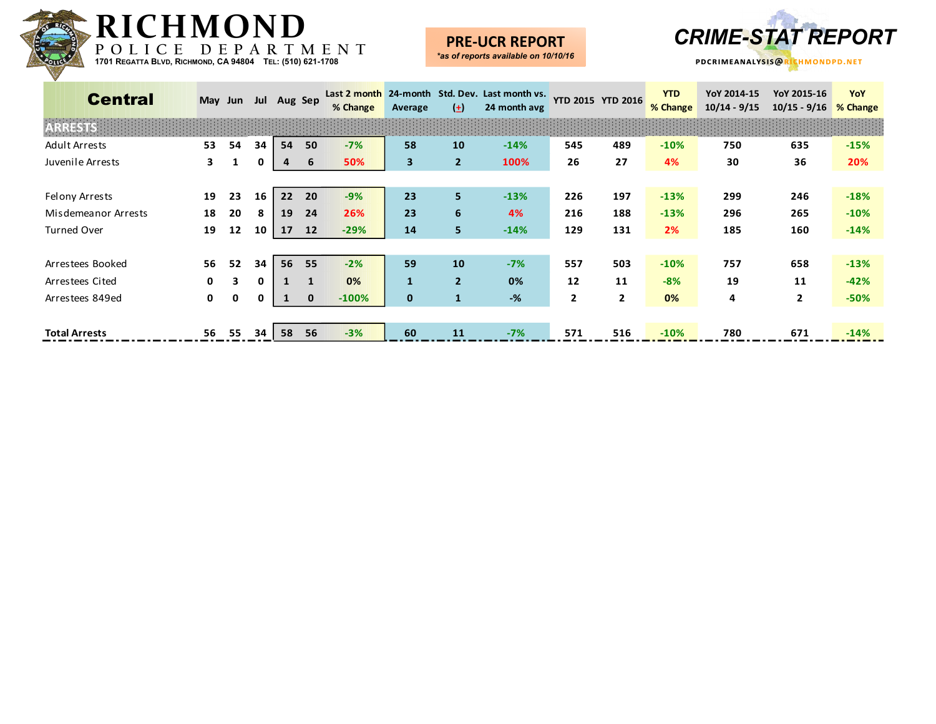

### **PRE-UCR REPORT**



| <b>Central</b>       |              | May Jun |    | Jul Aug Sep |              | % Change | Average      | $(+)$          | Last 2 month 24-month Std. Dev. Last month vs.<br>24 month avg | <b>YTD 2015 YTD 2016</b> |                | <b>YTD</b><br>% Change | YoY 2014-15<br>$10/14 - 9/15$ | YoY 2015-16<br>$10/15 - 9/16$ | YoY<br>% Change |
|----------------------|--------------|---------|----|-------------|--------------|----------|--------------|----------------|----------------------------------------------------------------|--------------------------|----------------|------------------------|-------------------------------|-------------------------------|-----------------|
| <b>RRESTS</b>        |              |         |    |             |              |          |              |                |                                                                |                          |                |                        |                               |                               |                 |
| Adult Arrests        | 53           | 54      | 34 | 54          | 50           | $-7%$    | 58           | 10             | $-14%$                                                         | 545                      | 489            | $-10%$                 | 750                           | 635                           | $-15%$          |
| Juvenile Arrests     | 3.           |         | 0  | 4           | 6            | 50%      | 3            | $\overline{2}$ | 100%                                                           | 26                       | 27             | 4%                     | 30                            | 36                            | 20%             |
|                      |              |         |    |             |              |          |              |                |                                                                |                          |                |                        |                               |                               |                 |
| Felony Arrests       | 19           | 23      | 16 | 22          | 20           | $-9%$    | 23           | 5.             | $-13%$                                                         | 226                      | 197            | $-13%$                 | 299                           | 246                           | $-18%$          |
| Misdemeanor Arrests  | 18           | 20      | 8  | 19          | 24           | 26%      | 23           | 6              | 4%                                                             | 216                      | 188            | $-13%$                 | 296                           | 265                           | $-10%$          |
| <b>Turned Over</b>   | 19           | 12      | 10 | 17          | 12           | $-29%$   | 14           | 5.             | $-14%$                                                         | 129                      | 131            | 2%                     | 185                           | 160                           | $-14%$          |
|                      |              |         |    |             |              |          |              |                |                                                                |                          |                |                        |                               |                               |                 |
| Arrestees Booked     | 56           | 52      | 34 | 56          | 55           | $-2%$    | 59           | 10             | $-7%$                                                          | 557                      | 503            | $-10%$                 | 757                           | 658                           | $-13%$          |
| Arrestees Cited      | $\mathbf{0}$ | 3       | 0  |             |              | 0%       | 1            | $\overline{2}$ | 0%                                                             | 12                       | 11             | $-8%$                  | 19                            | 11                            | $-42%$          |
| Arrestees 849ed      | $\mathbf{0}$ | 0       | 0  |             | $\mathbf{0}$ | $-100%$  | $\mathbf{0}$ | $\mathbf{1}$   | $-$ %                                                          | $\overline{2}$           | $\overline{2}$ | 0%                     | 4                             | $\mathbf{2}$                  | $-50%$          |
|                      |              |         |    |             |              |          |              |                |                                                                |                          |                |                        |                               |                               |                 |
| <b>Total Arrests</b> | 56           | 55      | 34 | 58          | 56           | $-3%$    | 60           | <b>11</b>      | $-7%$                                                          | 571                      | 516            | $-10%$                 | 780                           | 671                           | $-14%$          |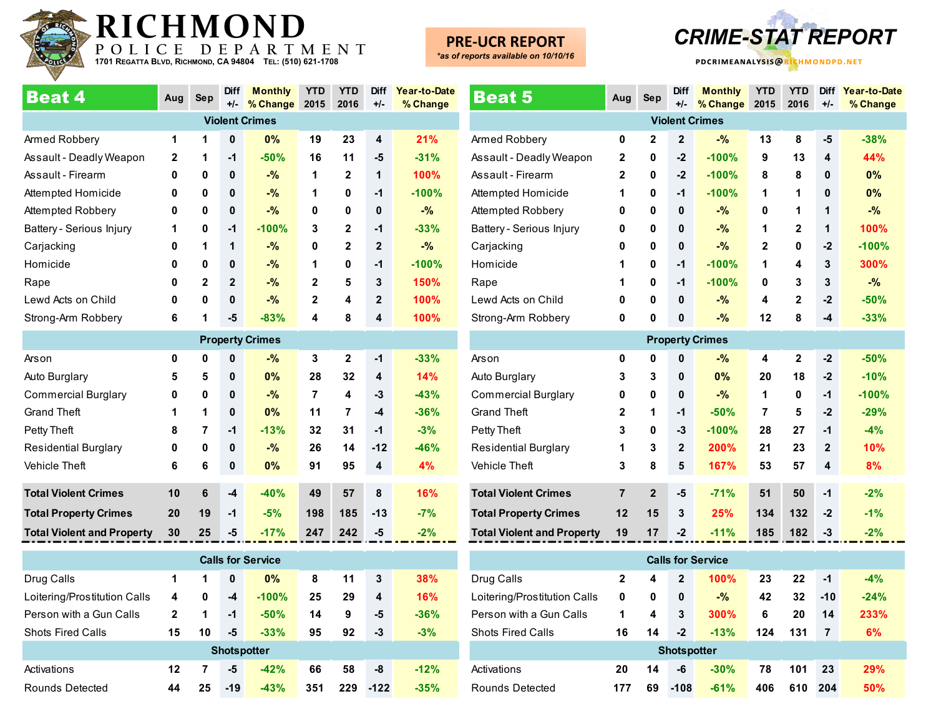

### **PRE-UCR REPORT**

*\*as of reports available on 10/10/16*



| <b>Beat 4</b>                     | Aug          | <b>Sep</b>   | <b>Diff</b><br>$+/-$ | <b>Monthly</b><br>% Change | <b>YTD</b><br>2015 | <b>YTD</b><br>2016 | <b>Diff</b><br>$+/-$ | Year-to-Date<br>% Change |
|-----------------------------------|--------------|--------------|----------------------|----------------------------|--------------------|--------------------|----------------------|--------------------------|
|                                   |              |              |                      | <b>Violent Crimes</b>      |                    |                    |                      |                          |
| Armed Robbery                     | 1            | 1            | $\mathbf 0$          | 0%                         | 19                 | 23                 | 4                    | 21%                      |
| Assault - Deadly Weapon           | $\mathbf{2}$ | 1            | $-1$                 | $-50%$                     | 16                 | 11                 | -5                   | $-31%$                   |
| Assault - Firearm                 | 0            | 0            | 0                    | $-$ %                      | 1                  | $\mathbf{2}$       | 1                    | 100%                     |
| Attempted Homicide                | 0            | 0            | 0                    | $-$ %                      | 1                  | 0                  | $-1$                 | $-100%$                  |
| Attempted Robbery                 | 0            | 0            | 0                    | $-$ %                      | 0                  | 0                  | $\mathbf{0}$         | $-$ %                    |
| Battery - Serious Injury          | 1            | 0            | $-1$                 | $-100%$                    | 3                  | $\mathbf{2}$       | $-1$                 | $-33%$                   |
| Carjacking                        | 0            | 1            | 1                    | $-$ %                      | 0                  | $\overline{2}$     | $\overline{2}$       | $-$ %                    |
| Homicide                          | 0            | 0            | $\pmb{0}$            | $-$ %                      | 1                  | 0                  | $-1$                 | $-100%$                  |
| Rape                              | 0            | $\mathbf{2}$ | $\overline{2}$       | $-$ %                      | $\mathbf{2}$       | 5                  | 3                    | 150%                     |
| Lewd Acts on Child                | 0            | 0            | $\mathbf{0}$         | $-$ %                      | $\overline{2}$     | 4                  | $\overline{2}$       | 100%                     |
| Strong-Arm Robbery                | 6            | 1            | -5                   | $-83%$                     | 4                  | 8                  | 4                    | 100%                     |
|                                   |              |              |                      | <b>Property Crimes</b>     |                    |                    |                      |                          |
| Arson                             | $\mathbf 0$  | 0            | $\mathbf 0$          | $-$ %                      | 3                  | $\mathbf{2}$       | $-1$                 | $-33%$                   |
| Auto Burglary                     | 5            | 5            | 0                    | 0%                         | 28                 | 32                 | 4                    | 14%                      |
| <b>Commercial Burglary</b>        | 0            | 0            | $\mathbf{0}$         | $-$ %                      | 7                  | 4                  | $-3$                 | $-43%$                   |
| <b>Grand Theft</b>                | 1            | 1            | $\mathbf{0}$         | 0%                         | 11                 | 7                  | $-4$                 | $-36%$                   |
| Petty Theft                       | 8            | 7            | $-1$                 | $-13%$                     | 32                 | 31                 | $-1$                 | $-3%$                    |
| <b>Residential Burglary</b>       | 0            | 0            | $\mathbf 0$          | $-$ %                      | 26                 | 14                 | $-12$                | $-46%$                   |
| <b>Vehicle Theft</b>              | 6            | 6            | 0                    | 0%                         | 91                 | 95                 | 4                    | 4%                       |
| <b>Total Violent Crimes</b>       | 10           | 6            | $-4$                 | $-40%$                     | 49                 | 57                 | 8                    | 16%                      |
| <b>Total Property Crimes</b>      | 20           | 19           | $-1$                 | $-5%$                      | 198                | 185                | $-13$                | $-7%$                    |
| <b>Total Violent and Property</b> | 30           | 25           | $-5$                 | $-17%$                     | 247                | 242                | -5                   | $-2%$                    |

| <b>Calls for Service</b>     |    |    |                    |         |     |     |        |        |  |  |  |  |
|------------------------------|----|----|--------------------|---------|-----|-----|--------|--------|--|--|--|--|
| Drug Calls                   | 1  | 1  | 0                  | $0\%$   | 8   | 11  | 3      | 38%    |  |  |  |  |
| Loitering/Prostitution Calls | 4  | 0  | -4                 | $-100%$ | 25  | 29  | 4      | 16%    |  |  |  |  |
| Person with a Gun Calls      | 2  | 1  | -1                 | $-50%$  | 14  | 9   | -5     | $-36%$ |  |  |  |  |
| <b>Shots Fired Calls</b>     | 15 | 10 | -5                 | $-33%$  | 95  | 92  | -3     | $-3%$  |  |  |  |  |
|                              |    |    | <b>Shotspotter</b> |         |     |     |        |        |  |  |  |  |
| Activations                  | 12 | 7  | -5                 | $-42%$  | 66  | 58  | -8     | $-12%$ |  |  |  |  |
| Rounds Detected              | 44 | 25 | $-19$              | $-43%$  | 351 | 229 | $-122$ | $-35%$ |  |  |  |  |

| <b>Beat 5</b>                     | Aug            | <b>Sep</b>     | <b>Diff</b><br>$+/-$ | <b>Monthly</b><br>% Change | <b>YTD</b><br>2015 | <b>YTD</b><br>2016 | <b>Diff</b><br>+/- | Year-to-Date<br>% Change |
|-----------------------------------|----------------|----------------|----------------------|----------------------------|--------------------|--------------------|--------------------|--------------------------|
|                                   |                |                |                      | <b>Violent Crimes</b>      |                    |                    |                    |                          |
| Armed Robbery                     | 0              | $\mathbf{2}$   | $\mathbf{2}$         | $-%$                       | 13                 | 8                  | -5                 | $-38%$                   |
| Assault - Deadly Weapon           | $\mathbf{2}$   | 0              | $-2$                 | $-100%$                    | 9                  | 13                 | 4                  | 44%                      |
| Assault - Firearm                 | $\mathbf{2}$   | 0              | $-2$                 | $-100%$                    | 8                  | 8                  | $\bf{0}$           | 0%                       |
| Attempted Homicide                | 1              | 0              | $-1$                 | $-100%$                    | 1                  | 1                  | 0                  | 0%                       |
| Attempted Robbery                 | 0              | 0              | $\mathbf{0}$         | $-$ %                      | 0                  | 1                  | 1                  | $-$ %                    |
|                                   | 0              | 0              | 0                    | $-$ %                      | 1                  | $\mathbf{2}$       | 1                  | 100%                     |
| Battery - Serious Injury          |                |                |                      |                            |                    |                    |                    |                          |
| Carjacking                        | 0              | 0              | $\bf{0}$             | $-$ %                      | $\mathbf{2}$       | 0                  | $-2$               | $-100%$                  |
| Homicide                          | 1              | 0              | $-1$                 | $-100%$                    | 1                  | 4                  | 3                  | 300%                     |
| Rape                              | 1              | 0              | -1                   | $-100%$                    | 0                  | 3                  | 3                  | $-$ %                    |
| Lewd Acts on Child                | 0              | 0              | $\bf{0}$             | $-$ %                      | 4                  | $\mathbf 2$        | $-2$               | $-50%$                   |
| Strong-Arm Robbery                | 0              | 0              | 0                    | $-$ %                      | 12                 | 8                  | $-4$               | $-33%$                   |
|                                   |                |                |                      | <b>Property Crimes</b>     |                    |                    |                    |                          |
| Arson                             | 0              | 0              | $\bf{0}$             | $-$ %                      | 4                  | $\mathbf{2}$       | $-2$               | $-50%$                   |
| Auto Burglary                     | 3              | 3              | $\mathbf 0$          | 0%                         | 20                 | 18                 | $-2$               | $-10%$                   |
| <b>Commercial Burglary</b>        | 0              | 0              | $\mathbf{0}$         | $-$ %                      | 1                  | 0                  | $-1$               | $-100%$                  |
| <b>Grand Theft</b>                | $\mathbf{2}$   | 1              | $-1$                 | $-50%$                     | 7                  | 5                  | $-2$               | $-29%$                   |
| Petty Theft                       | 3              | 0              | $-3$                 | $-100%$                    | 28                 | 27                 | $-1$               | $-4%$                    |
| <b>Residential Burglary</b>       | 1              | 3              | $\overline{2}$       | 200%                       | 21                 | 23                 | $\overline{2}$     | 10%                      |
| <b>Vehicle Theft</b>              | 3              | 8              | 5                    | 167%                       | 53                 | 57                 | 4                  | 8%                       |
|                                   |                |                |                      |                            |                    |                    |                    |                          |
| <b>Total Violent Crimes</b>       | $\overline{7}$ | $\overline{2}$ | -5                   | $-71%$                     | 51                 | 50                 | $-1$               | $-2%$                    |
| <b>Total Property Crimes</b>      | 12             | 15             | 3                    | 25%                        | 134                | 132                | $-2$               | $-1%$                    |
| <b>Total Violent and Property</b> | 19             | 17             | $-2$                 | $-11%$                     | 185                | 182                | $-3$               | $-2%$                    |
|                                   |                |                |                      | <b>Calls for Service</b>   |                    |                    |                    |                          |
| Drug Calls                        | $\overline{2}$ | 4              | $\mathbf{2}$         | 100%                       | 23                 | 22                 | $-1$               | $-4%$                    |
| Loitering/Prostitution Calls      | 0              | 0              | $\bf{0}$             | $-$ %                      | 42                 | 32                 | $-10$              | $-24%$                   |

Person with a Gun Calls **1 4 3 300% 6 20 14 233%** Shots Fired Calls **16 14 -2 -13% 124 131 7 6%**

Activations **20 14 -6 -30% 78 101 23 29%** Rounds Detected **177 69 -108 -61% 406 610 204 50%**

**Shotspotter**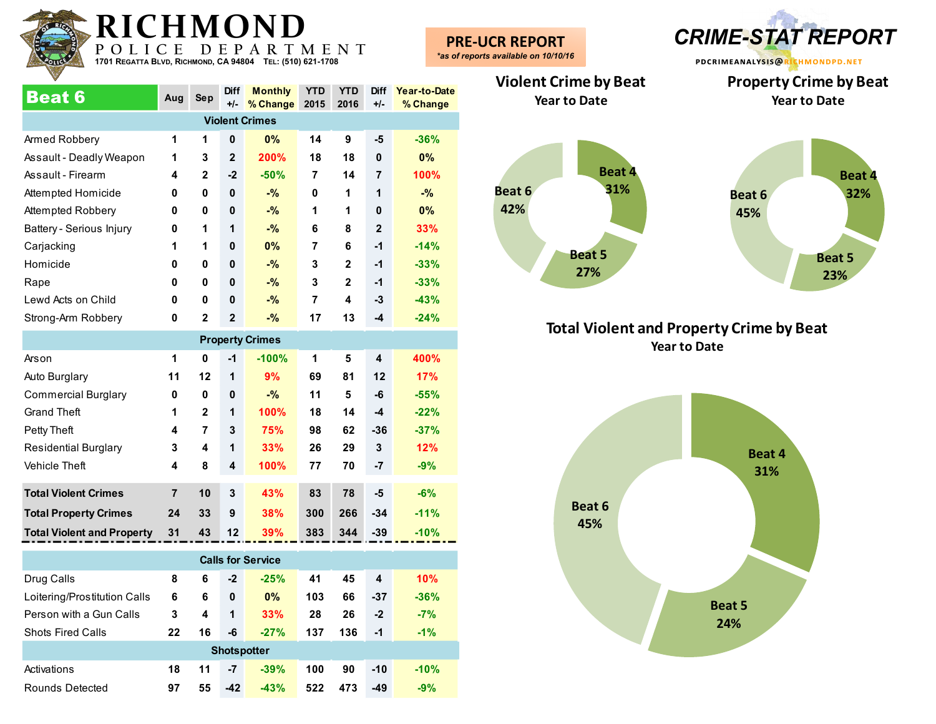

| <b>Beat 6</b>            | Aug | Sep          | <b>Diff</b>    | <b>Monthly</b>        | <b>YTD</b> | <b>YTD</b>   | <b>Diff</b>  | Year-to-Date |
|--------------------------|-----|--------------|----------------|-----------------------|------------|--------------|--------------|--------------|
|                          |     |              | $+/-$          | % Change              | 2015       | 2016         | $+/-$        | % Change     |
|                          |     |              |                | <b>Violent Crimes</b> |            |              |              |              |
| Armed Robbery            | 1   | 1            | 0              | 0%                    | 14         | 9            | -5           | $-36%$       |
| Assault - Deadly Weapon  | 1   | 3            | $\overline{2}$ | <b>200%</b>           | 18         | 18           | $\mathbf{0}$ | $0\%$        |
| Assault - Firearm        | 4   | $\mathbf{2}$ | $-2$           | $-50%$                | 7          | 14           | 7            | 100%         |
| Attempted Homicide       | 0   | 0            | 0              | $-$ %                 | 0          | 1            | 1            | $-$ %        |
| Attempted Robbery        | 0   | 0            | $\bf{0}$       | $-$ %                 | 1          | 1            | $\mathbf{0}$ | $0\%$        |
| Battery - Serious Injury | 0   | 1            | 1              | $-$ %                 | 6          | 8            | $\mathbf{2}$ | 33%          |
| Carjacking               | 1   | 1            | $\mathbf 0$    | 0%                    | 7          | 6            | $-1$         | $-14%$       |
| Homicide                 | 0   | 0            | 0              | $-$ %                 | 3          | $\mathbf{2}$ | $-1$         | $-33%$       |
| Rape                     | 0   | 0            | $\mathbf 0$    | $-$ %                 | 3          | $\mathbf{2}$ | $-1$         | $-33%$       |
| Lewd Acts on Child       | 0   | 0            | 0              | $-$ %                 | 7          | 4            | $-3$         | $-43%$       |
| Strong-Arm Robbery       | 0   | $\mathbf{2}$ | $\mathbf{2}$   | $-%$                  | 17         | 13           | $-4$         | $-24%$       |
|                          |     |              |                | Duais a str. Ostisa.  |            |              |              |              |

|                                   |                |              |              | <b>Property Crimes</b> |     |     |       |        |
|-----------------------------------|----------------|--------------|--------------|------------------------|-----|-----|-------|--------|
| Arson                             | 1              | 0            | $-1$         | $-100%$                | 1   | 5   | 4     | 400%   |
| Auto Burglary                     | 11             | 12           | 1            | 9%                     | 69  | 81  | 12    | 17%    |
| <b>Commercial Burglary</b>        | 0              | 0            | $\mathbf{0}$ | $-$ %                  | 11  | 5   | -6    | $-55%$ |
| <b>Grand Theft</b>                | 1              | $\mathbf{2}$ | 1            | 100%                   | 18  | 14  | -4    | $-22%$ |
| Petty Theft                       | 4              | 7            | 3            | 75%                    | 98  | 62  | $-36$ | $-37%$ |
| <b>Residential Burglary</b>       | 3              | 4            | 1            | 33%                    | 26  | 29  | 3     | 12%    |
| Vehicle Theft                     | 4              | 8            | 4            | 100%                   | 77  | 70  | -7    | $-9%$  |
| <b>Total Violent Crimes</b>       | $\overline{7}$ | 10           | 3            | 43%                    | 83  | 78  | -5    | $-6%$  |
| <b>Total Property Crimes</b>      | 24             | 33           | 9            | 38%                    | 300 | 266 | $-34$ | $-11%$ |
| <b>Total Violent and Property</b> | 31             | 43           | 12           | 39%                    | 383 | 344 | $-39$ | $-10%$ |

| <b>Calls for Service</b>     |    |    |                    |        |     |     |       |        |  |  |  |  |
|------------------------------|----|----|--------------------|--------|-----|-----|-------|--------|--|--|--|--|
| Drug Calls                   | 8  | 6  | $-2$               | $-25%$ | 41  | 45  | 4     | 10%    |  |  |  |  |
| Loitering/Prostitution Calls | 6  | 6  | $\mathbf 0$        | 0%     | 103 | 66  | $-37$ | $-36%$ |  |  |  |  |
| Person with a Gun Calls      | 3  | 4  | 1                  | 33%    | 28  | 26  | $-2$  | $-7%$  |  |  |  |  |
| <b>Shots Fired Calls</b>     | 22 | 16 | -6                 | $-27%$ | 137 | 136 | -1    | $-1\%$ |  |  |  |  |
|                              |    |    | <b>Shotspotter</b> |        |     |     |       |        |  |  |  |  |
| Activations                  | 18 | 11 | -7                 | $-39%$ | 100 | 90  | $-10$ | $-10%$ |  |  |  |  |
| Rounds Detected              | 97 | 55 | $-42$              | $-43%$ | 522 | 473 | $-49$ | $-9%$  |  |  |  |  |

**PRE-UCR REPORT** *\*as of reports available on 10/10/16*



**Property Crime by Beat Year to Date**

**Violent Crime by Beat Year to Date**



#### **Total Violent and Property Crime by Beat Year to Date**

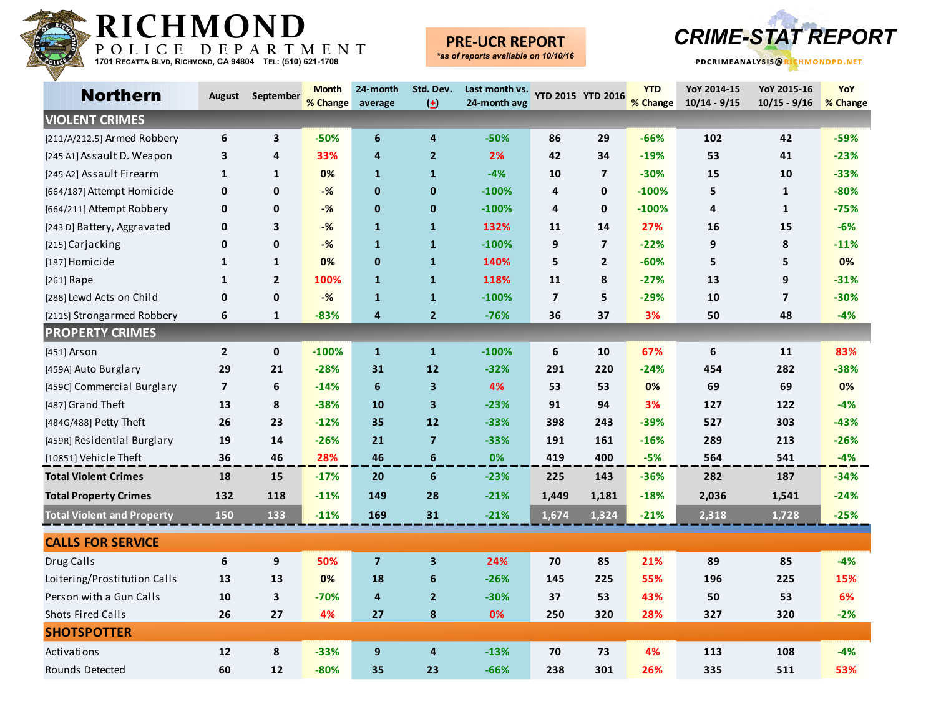

### **PRE-UCR REPORT**



| <b>Northern</b>                   | August                  | September      | <b>Month</b> | 24-month       | Std. Dev.               | Last month vs. |                         | YTD 2015 YTD 2016       | <b>YTD</b> | YoY 2014-15      | YoY 2015-16             | YoY      |
|-----------------------------------|-------------------------|----------------|--------------|----------------|-------------------------|----------------|-------------------------|-------------------------|------------|------------------|-------------------------|----------|
|                                   |                         |                | % Change     | average        | $\left( \pm \right)$    | 24-month avg   |                         |                         | % Change   | $10/14 - 9/15$   | $10/15 - 9/16$          | % Change |
| <b>VIOLENT CRIMES</b>             |                         |                |              |                |                         |                |                         |                         |            |                  |                         |          |
| [211/A/212.5] Armed Robbery       | 6                       | 3              | $-50%$       | 6              | 4                       | $-50%$         | 86                      | 29                      | $-66%$     | 102              | 42                      | $-59%$   |
| [245 A1] Assault D. Weapon        | 3                       | 4              | 33%          | 4              | $\overline{2}$          | 2%             | 42                      | 34                      | $-19%$     | 53               | 41                      | $-23%$   |
| [245 A2] Assault Firearm          | $\mathbf{1}$            | 1              | 0%           | $\mathbf{1}$   | $\mathbf{1}$            | $-4%$          | 10                      | $\overline{\mathbf{z}}$ | $-30%$     | 15               | 10                      | $-33%$   |
| [664/187] Attempt Homicide        | 0                       | 0              | $-$ %        | $\mathbf 0$    | $\mathbf 0$             | $-100%$        | 4                       | $\mathbf 0$             | $-100%$    | 5                | $\mathbf{1}$            | $-80%$   |
| [664/211] Attempt Robbery         | 0                       | 0              | $-%$         | 0              | $\mathbf 0$             | $-100%$        | 4                       | 0                       | $-100%$    | 4                | 1                       | $-75%$   |
| [243 D] Battery, Aggravated       | 0                       | 3              | $-%$         | $\mathbf{1}$   | $\mathbf{1}$            | 132%           | 11                      | 14                      | 27%        | 16               | 15                      | $-6%$    |
| [215] Carjacking                  | 0                       | $\mathbf{0}$   | $-%$         | $\mathbf{1}$   | $\mathbf{1}$            | $-100%$        | 9                       | $\overline{\mathbf{z}}$ | $-22%$     | 9                | 8                       | $-11%$   |
| [187] Homicide                    | $\mathbf{1}$            | $\mathbf{1}$   | 0%           | $\mathbf 0$    | $\mathbf{1}$            | 140%           | 5                       | $\mathbf{2}$            | $-60%$     | 5                | 5                       | 0%       |
| $[261]$ Rape                      | $\mathbf{1}$            | $\overline{2}$ | 100%         | $\mathbf{1}$   | $\mathbf{1}$            | 118%           | 11                      | 8                       | $-27%$     | 13               | 9                       | $-31%$   |
| [288] Lewd Acts on Child          | 0                       | 0              | $-%$         | $\mathbf{1}$   | $\mathbf{1}$            | $-100%$        | $\overline{\mathbf{z}}$ | 5                       | $-29%$     | 10               | $\overline{\mathbf{z}}$ | $-30%$   |
| [211S] Strongarmed Robbery        | 6                       | $\mathbf{1}$   | $-83%$       | 4              | $\overline{2}$          | $-76%$         | 36                      | 37                      | 3%         | 50               | 48                      | $-4%$    |
| <b>PROPERTY CRIMES</b>            |                         |                |              |                |                         |                |                         |                         |            |                  |                         |          |
| $[451]$ Arson                     | $\overline{2}$          | 0              | $-100%$      | $\mathbf{1}$   | $\mathbf{1}$            | $-100%$        | 6                       | 10                      | 67%        | $\boldsymbol{6}$ | 11                      | 83%      |
| [459A] Auto Burglary              | 29                      | 21             | $-28%$       | 31             | 12                      | $-32%$         | 291                     | 220                     | $-24%$     | 454              | 282                     | $-38%$   |
| [459C] Commercial Burglary        | $\overline{\mathbf{z}}$ | 6              | $-14%$       | 6              | $\mathbf{3}$            | 4%             | 53                      | 53                      | 0%         | 69               | 69                      | 0%       |
| [487] Grand Theft                 | 13                      | 8              | $-38%$       | 10             | $\overline{\mathbf{3}}$ | $-23%$         | 91                      | 94                      | 3%         | 127              | 122                     | $-4%$    |
| [484G/488] Petty Theft            | 26                      | 23             | $-12%$       | 35             | 12                      | $-33%$         | 398                     | 243                     | $-39%$     | 527              | 303                     | $-43%$   |
| [459R] Residential Burglary       | 19                      | 14             | $-26%$       | 21             | $\overline{7}$          | $-33%$         | 191                     | 161                     | $-16%$     | 289              | 213                     | $-26%$   |
| [10851] Vehicle Theft             | 36                      | 46             | 28%          | 46             | 6                       | 0%             | 419                     | 400                     | $-5%$      | 564              | 541                     | $-4%$    |
| <b>Total Violent Crimes</b>       | 18                      | 15             | $-17%$       | 20             | 6                       | $-23%$         | 225                     | 143                     | $-36%$     | 282              | 187                     | $-34%$   |
| <b>Total Property Crimes</b>      | 132                     | 118            | $-11%$       | 149            | 28                      | $-21%$         | 1,449                   | 1,181                   | $-18%$     | 2,036            | 1,541                   | $-24%$   |
| <b>Total Violent and Property</b> | 150                     | 133            | $-11%$       | 169            | 31                      | $-21%$         | 1,674                   | 1,324                   | $-21%$     | 2,318            | 1,728                   | $-25%$   |
| <b>CALLS FOR SERVICE</b>          |                         |                |              |                |                         |                |                         |                         |            |                  |                         |          |
| Drug Calls                        | 6                       | 9              | 50%          | $\overline{7}$ | $\overline{\mathbf{3}}$ | 24%            | 70                      | 85                      | 21%        | 89               | 85                      | -4%      |
| Loitering/Prostitution Calls      | 13                      | 13             | 0%           | 18             | $\boldsymbol{6}$        | $-26%$         | 145                     | 225                     | 55%        | 196              | 225                     | 15%      |
| Person with a Gun Calls           | 10                      | 3              | $-70%$       | 4              | $\overline{2}$          | $-30%$         | 37                      | 53                      | 43%        | 50               | 53                      | 6%       |
| <b>Shots Fired Calls</b>          | 26                      | 27             | 4%           | 27             | 8                       | 0%             | 250                     | 320                     | 28%        | 327              | 320                     | $-2%$    |
| <b>SHOTSPOTTER</b>                |                         |                |              |                |                         |                |                         |                         |            |                  |                         |          |
| Activations                       | 12                      | 8              | $-33%$       | 9              | $\overline{4}$          | $-13%$         | 70                      | 73                      | 4%         | 113              | 108                     | -4%      |
| Rounds Detected                   | 60                      | 12             | $-80%$       | 35             | 23                      | $-66%$         | 238                     | 301                     | 26%        | 335              | 511                     | 53%      |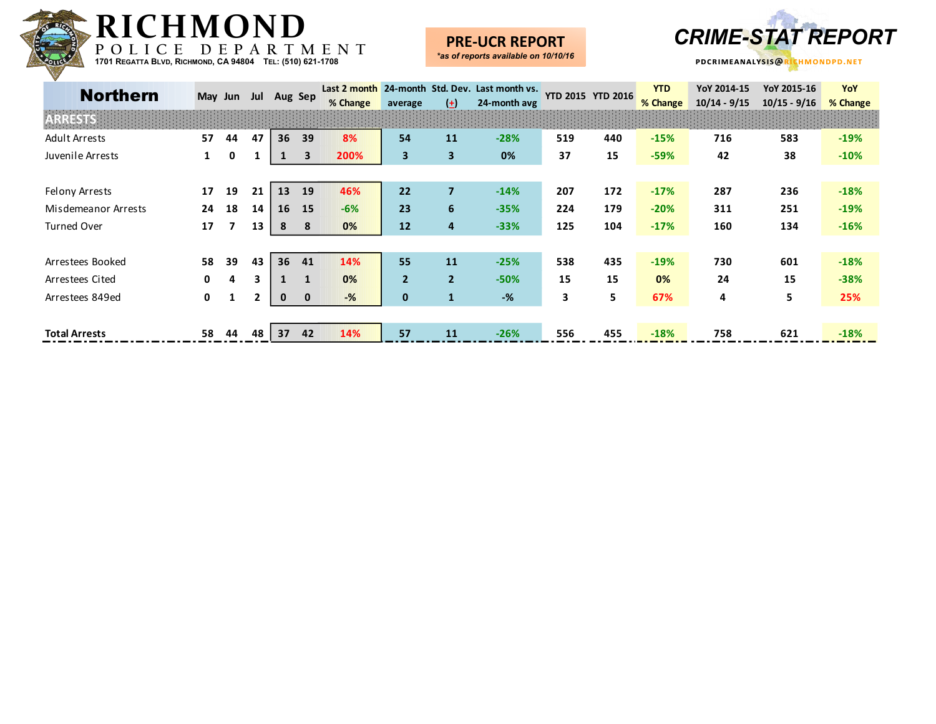

### **PRE-UCR REPORT**



| <b>Northern</b>      | May Jun      |    | Jul          | Aug Sep     |              | Last 2 month<br>% Change | average        | $(\pm)$        | 24-month Std. Dev. Last month vs.<br>24-month avg |     | <b>YTD 2015 YTD 2016</b> | <b>YTD</b><br>% Change | YoY 2014-15<br>$10/14 - 9/15$ | YoY 2015-16<br>$10/15 - 9/16$ | YoY<br>% Change |
|----------------------|--------------|----|--------------|-------------|--------------|--------------------------|----------------|----------------|---------------------------------------------------|-----|--------------------------|------------------------|-------------------------------|-------------------------------|-----------------|
| ESTS                 |              |    |              |             |              |                          |                |                |                                                   |     |                          |                        |                               |                               |                 |
| <b>Adult Arrests</b> | 57           | 44 | 47           | 36          | 39           | 8%                       | 54             | 11             | $-28%$                                            | 519 | 440                      | $-15%$                 | 716                           | 583                           | $-19%$          |
| Juvenile Arrests     | $\mathbf{1}$ | 0  |              |             | 3            | 200%                     | 3              | $\mathbf{3}$   | 0%                                                | 37  | 15                       | $-59%$                 | 42                            | 38                            | $-10%$          |
|                      |              |    |              |             |              |                          |                |                |                                                   |     |                          |                        |                               |                               |                 |
| Felony Arrests       | 17           | 19 | 21           | 13          | 19           | 46%                      | 22             | $\overline{7}$ | $-14%$                                            | 207 | 172                      | $-17%$                 | 287                           | 236                           | $-18%$          |
| Misdemeanor Arrests  | 24           | 18 | 14           | 16          | 15           | $-6%$                    | 23             | 6              | $-35%$                                            | 224 | 179                      | $-20%$                 | 311                           | 251                           | $-19%$          |
| Turned Over          | 17           | 7  | 13           | 8           | 8            | 0%                       | 12             | 4              | $-33%$                                            | 125 | 104                      | $-17%$                 | 160                           | 134                           | $-16%$          |
|                      |              |    |              |             |              |                          |                |                |                                                   |     |                          |                        |                               |                               |                 |
| Arrestees Booked     | 58           | 39 | 43           | 36          | 41           | 14%                      | 55             | 11             | $-25%$                                            | 538 | 435                      | $-19%$                 | 730                           | 601                           | $-18%$          |
| Arrestees Cited      | 0            | 4  | 3            |             | $\mathbf{1}$ | 0%                       | $\overline{2}$ | $\overline{2}$ | $-50%$                                            | 15  | 15                       | 0%                     | 24                            | 15                            | $-38%$          |
| Arrestees 849ed      | $\mathbf{0}$ | 1  | $\mathbf{2}$ | $\mathbf 0$ | $\mathbf{0}$ | $-%$                     | $\mathbf 0$    | $\mathbf{1}$   | $-$ %                                             | 3   | 5                        | 67%                    | 4                             | 5                             | 25%             |
|                      |              |    |              |             |              |                          |                |                |                                                   |     |                          |                        |                               |                               |                 |
| <b>Total Arrests</b> | 58           | 44 | 48           | 37          | 42           | 14%                      | 57             | 11             | $-26%$                                            | 556 | 455                      | $-18%$                 | 758                           | 621                           | $-18%$          |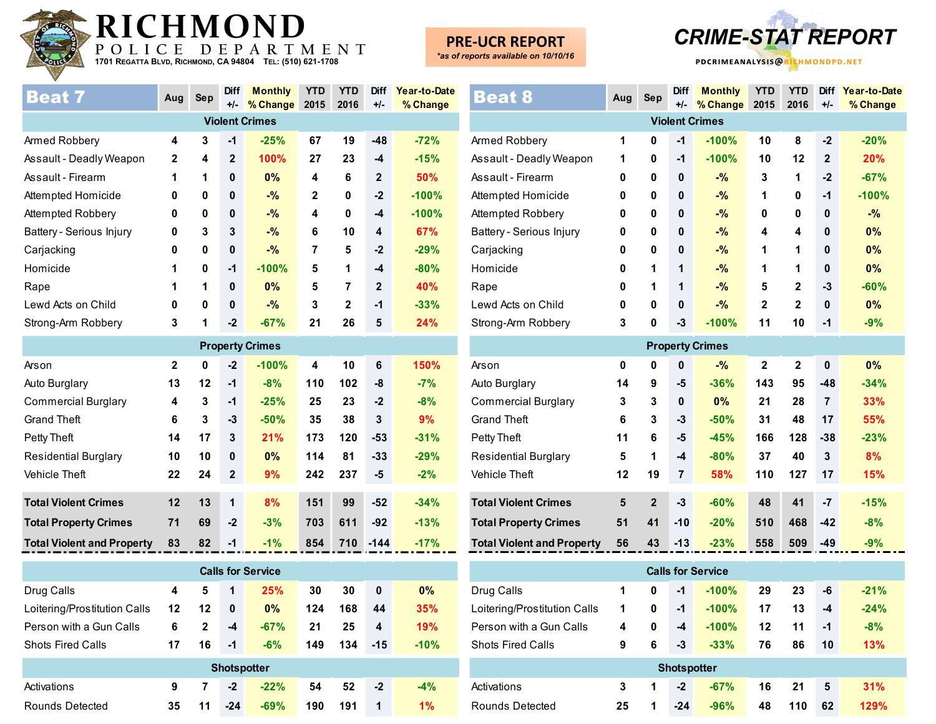

**PRE-UCR REPORT** *\*as of reports available on 10/10/16*

**pdcrimeanalysis@richmondpd.net -UCR REPORT** *CRIME-STAT REPORT*

| <b>Beat 7</b>            | Aug         | <b>Sep</b> | <b>Diff</b><br>$+/-$ | <b>Monthly</b><br>% Change | <b>YTD</b><br>2015 | <b>YTD</b><br>2016 | Diff<br>$+/-$ | Year-to-Date<br>% Change |
|--------------------------|-------------|------------|----------------------|----------------------------|--------------------|--------------------|---------------|--------------------------|
|                          |             |            |                      | <b>Violent Crimes</b>      |                    |                    |               |                          |
| Armed Robbery            | 4           | 3          | $-1$                 | $-25%$                     | 67                 | 19                 | $-48$         | $-72%$                   |
| Assault - Deadly Weapon  | $\mathbf 2$ | 4          | $\mathbf{2}$         | 100%                       | 27                 | 23                 | $-4$          | $-15%$                   |
| Assault - Firearm        | 1           | 1          | 0                    | 0%                         | 4                  | 6                  | $\mathbf{2}$  | 50%                      |
| Attempted Homicide       | 0           | 0          | 0                    | $-$ %                      | $\mathbf{2}$       | 0                  | $-2$          | $-100%$                  |
| Attempted Robbery        | 0           | 0          | 0                    | $-%$                       | 4                  | 0                  | -4            | $-100%$                  |
| Battery - Serious Injury | 0           | 3          | 3                    | $-$ %                      | 6                  | 10                 | 4             | 67%                      |
| Carjacking               | 0           | 0          | 0                    | $-$ %                      | 7                  | 5                  | $-2$          | $-29%$                   |
| Homicide                 | 1           | 0          | -1                   | $-100%$                    | 5                  | 1                  | $-4$          | $-80%$                   |
| Rape                     | 1           | 1          | 0                    | 0%                         | 5                  | 7                  | $\mathbf{2}$  | <b>40%</b>               |
| Lewd Acts on Child       | 0           | 0          | 0                    | $-$ %                      | 3                  | $\mathbf{2}$       | $-1$          | $-33%$                   |
| Strong-Arm Robbery       | 3           | 1          | $-2$                 | $-67%$                     | 21                 | 26                 | 5             | 24%                      |
|                          |             |            |                      |                            |                    |                    |               |                          |

|                                   |              |    |                | <b>Property Crimes</b> |     |     |        |        |
|-----------------------------------|--------------|----|----------------|------------------------|-----|-----|--------|--------|
| Arson                             | $\mathbf{2}$ | 0  | $-2$           | $-100%$                | 4   | 10  | 6      | 150%   |
| Auto Burglary                     | 13           | 12 | $-1$           | $-8%$                  | 110 | 102 | -8     | $-7%$  |
| <b>Commercial Burglary</b>        | 4            | 3  | $-1$           | $-25%$                 | 25  | 23  | $-2$   | $-8%$  |
| <b>Grand Theft</b>                | 6            | 3  | -3             | $-50%$                 | 35  | 38  | 3      | 9%     |
| Petty Theft                       | 14           | 17 | 3              | 21%                    | 173 | 120 | $-53$  | $-31%$ |
| <b>Residential Burglary</b>       | 10           | 10 | $\mathbf 0$    | $0\%$                  | 114 | 81  | $-33$  | $-29%$ |
| <b>Vehicle Theft</b>              | 22           | 24 | $\overline{2}$ | 9%                     | 242 | 237 | -5     | $-2%$  |
|                                   |              |    |                |                        |     |     |        |        |
| <b>Total Violent Crimes</b>       | 12           | 13 | 1              | 8%                     | 151 | 99  | $-52$  | $-34%$ |
| <b>Total Property Crimes</b>      | 71           | 69 | $-2$           | $-3%$                  | 703 | 611 | $-92$  | $-13%$ |
| <b>Total Violent and Property</b> | 83           | 82 | $-1$           | $-1%$                  | 854 | 710 | $-144$ | $-17%$ |

| <b>Calls for Service</b>     |    |              |                    |        |     |     |              |        |  |  |  |
|------------------------------|----|--------------|--------------------|--------|-----|-----|--------------|--------|--|--|--|
| Drug Calls                   | 4  | 5            | 1                  | 25%    | 30  | 30  | $\mathbf{0}$ | $0\%$  |  |  |  |
| Loitering/Prostitution Calls | 12 | 12           | 0                  | 0%     | 124 | 168 | 44           | 35%    |  |  |  |
| Person with a Gun Calls      | 6  | $\mathbf{2}$ | -4                 | $-67%$ | 21  | 25  | 4            | 19%    |  |  |  |
| <b>Shots Fired Calls</b>     | 17 | 16           | $-1$               | $-6%$  | 149 | 134 | $-15$        | $-10%$ |  |  |  |
|                              |    |              | <b>Shotspotter</b> |        |     |     |              |        |  |  |  |
| Activations                  | 9  | 7            | $-2$               | $-22%$ | 54  | 52  | $-2$         | $-4%$  |  |  |  |
| Rounds Detected              | 35 | 11           | $-24$              | $-69%$ | 190 | 191 | 1            | $1\%$  |  |  |  |

| <b>Beat 8</b>                     | Aug         | <b>Sep</b>   | <b>Diff</b><br>+/- | <b>Monthly</b><br>% Change | <b>YTD</b><br>2015      | <b>YTD</b><br>2016      | <b>Diff</b><br>$+/-$ | Year-to-Date<br>% Change |
|-----------------------------------|-------------|--------------|--------------------|----------------------------|-------------------------|-------------------------|----------------------|--------------------------|
|                                   |             |              |                    | <b>Violent Crimes</b>      |                         |                         |                      |                          |
| Armed Robbery                     | 1           | $\mathbf{0}$ | $-1$               | $-100%$                    | 10                      | 8                       | $-2$                 | $-20%$                   |
| Assault - Deadly Weapon           | 1           | 0            | $-1$               | $-100%$                    | 10                      | 12                      | $\mathbf{2}$         | 20%                      |
| Assault - Firearm                 | 0           | 0            | $\mathbf 0$        | $-9/6$                     | 3                       | 1                       | $-2$                 | $-67%$                   |
| Attempted Homicide                | 0           | 0            | $\bf{0}$           | $-$ %                      | 1                       | 0                       | $-1$                 | $-100%$                  |
| Attempted Robbery                 | 0           | 0            | $\bf{0}$           | $-$ %                      | 0                       | 0                       | $\mathbf{0}$         | $-$ %                    |
| Battery - Serious Injury          | 0           | 0            | 0                  | $-$ %                      | 4                       | 4                       | $\mathbf{0}$         | 0%                       |
| Carjacking                        | 0           | 0            | 0                  | $-$ %                      | 1                       | 1                       | 0                    | 0%                       |
| Homicide                          | 0           | 1            | 1                  | $-$ %                      | 1                       | 1                       | $\mathbf{0}$         | 0%                       |
| Rape                              | 0           | 1            | 1                  | $-$ %                      | 5                       | $\mathbf{2}$            | $-3$                 | $-60%$                   |
| Lewd Acts on Child                | 0           | 0            | $\mathbf 0$        | $-9/6$                     | $\mathbf 2$             | $\mathbf{2}$            | $\mathbf 0$          | 0%                       |
| Strong-Arm Robbery                | 3           | 0            | $-3$               | $-100%$                    | 11                      | 10                      | $-1$                 | $-9%$                    |
|                                   |             |              |                    | <b>Property Crimes</b>     |                         |                         |                      |                          |
| Arson                             | $\mathbf 0$ | $\mathbf 0$  | $\mathbf 0$        | $-$ %                      | $\overline{\mathbf{2}}$ | $\overline{\mathbf{2}}$ | $\mathbf 0$          | $0\%$                    |
| Auto Burglary                     | 14          | 9            | -5                 | $-36%$                     | 143                     | 95                      | $-48$                | $-34%$                   |
| <b>Commercial Burglary</b>        | 3           | 3            | $\mathbf{0}$       | 0%                         | 21                      | 28                      | $\overline{7}$       | 33%                      |
| <b>Grand Theft</b>                | 6           | 3            | $-3$               | $-50%$                     | 31                      | 48                      | 17                   | 55%                      |
| Petty Theft                       | 11          | 6            | -5                 | $-45%$                     | 166                     | 128                     | $-38$                | $-23%$                   |
| <b>Residential Burglary</b>       | 5           | 1            | $-4$               | $-80%$                     | 37                      | 40                      | 3                    | 8%                       |
| <b>Vehicle Theft</b>              | 12          | 19           | $\overline{7}$     | 58%                        | 110                     | 127                     | 17                   | 15%                      |
| <b>Total Violent Crimes</b>       | 5           | $\mathbf{2}$ | $-3$               | $-60%$                     | 48                      | 41                      | $-7$                 | $-15%$                   |
| <b>Total Property Crimes</b>      | 51          | 41           | $-10$              | $-20%$                     | 510                     | 468                     | $-42$                | $-8%$                    |
| <b>Total Violent and Property</b> | 56          | 43           | $-13$              | $-23%$                     | 558                     | 509                     | $-49$                | $-9%$                    |

| <b>Calls for Service</b>     |    |   |                    |         |    |     |      |        |  |  |  |
|------------------------------|----|---|--------------------|---------|----|-----|------|--------|--|--|--|
| Drug Calls                   | 1  | 0 | -1                 | $-100%$ | 29 | 23  | -6   | $-21%$ |  |  |  |
| Loitering/Prostitution Calls | 1  | 0 | $-1$               | $-100%$ | 17 | 13  | -4   | $-24%$ |  |  |  |
| Person with a Gun Calls      | 4  | 0 | $-4$               | $-100%$ | 12 | 11  | $-1$ | $-8%$  |  |  |  |
| <b>Shots Fired Calls</b>     | 9  | 6 | -3                 | $-33%$  | 76 | 86  | 10   | 13%    |  |  |  |
|                              |    |   | <b>Shotspotter</b> |         |    |     |      |        |  |  |  |
| Activations                  | 3  | 1 | $-2$               | $-67%$  | 16 | 21  | 5    | 31%    |  |  |  |
| Rounds Detected              | 25 | 1 | $-24$              | $-96%$  | 48 | 110 | 62   | 129%   |  |  |  |